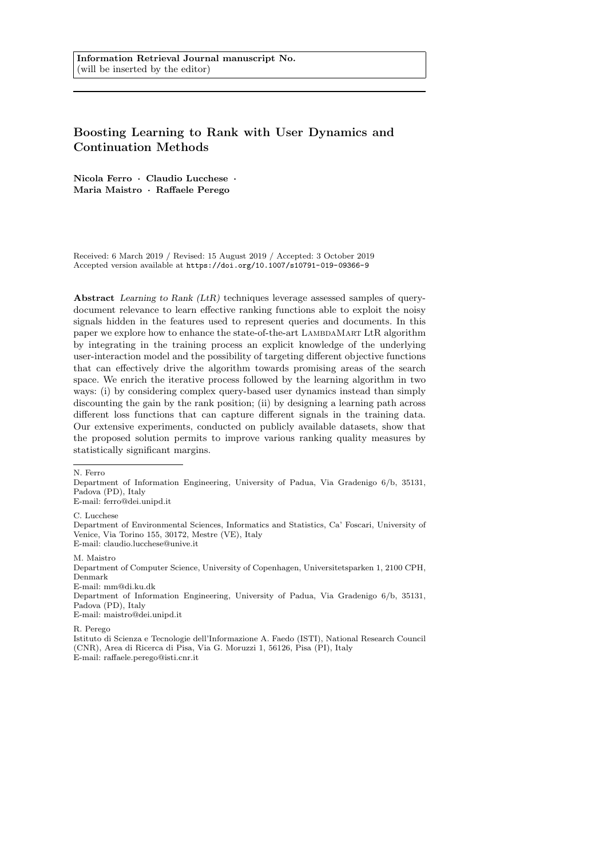# Boosting Learning to Rank with User Dynamics and Continuation Methods

Nicola Ferro · Claudio Lucchese · Maria Maistro · Raffaele Perego

Received: 6 March 2019 / Revised: 15 August 2019 / Accepted: 3 October 2019 Accepted version available at https://doi.org/10.1007/s10791-019-09366-9

Abstract Learning to Rank (LtR) techniques leverage assessed samples of querydocument relevance to learn effective ranking functions able to exploit the noisy signals hidden in the features used to represent queries and documents. In this paper we explore how to enhance the state-of-the-art LAMBDAMART LtR algorithm by integrating in the training process an explicit knowledge of the underlying user-interaction model and the possibility of targeting different objective functions that can effectively drive the algorithm towards promising areas of the search space. We enrich the iterative process followed by the learning algorithm in two ways: (i) by considering complex query-based user dynamics instead than simply discounting the gain by the rank position; (ii) by designing a learning path across different loss functions that can capture different signals in the training data. Our extensive experiments, conducted on publicly available datasets, show that the proposed solution permits to improve various ranking quality measures by statistically significant margins.

N. Ferro

E-mail: ferro@dei.unipd.it

C. Lucchese

Department of Environmental Sciences, Informatics and Statistics, Ca' Foscari, University of Venice, Via Torino 155, 30172, Mestre (VE), Italy E-mail: claudio.lucchese@unive.it

M. Maistro

Department of Computer Science, University of Copenhagen, Universitetsparken 1, 2100 CPH, Denmark

E-mail: mm@di.ku.dk

Department of Information Engineering, University of Padua, Via Gradenigo 6/b, 35131, Padova (PD), Italy

E-mail: maistro@dei.unipd.it

R. Perego

Istituto di Scienza e Tecnologie dell'Informazione A. Faedo (ISTI), National Research Council (CNR), Area di Ricerca di Pisa, Via G. Moruzzi 1, 56126, Pisa (PI), Italy E-mail: raffaele.perego@isti.cnr.it

Department of Information Engineering, University of Padua, Via Gradenigo 6/b, 35131, Padova (PD), Italy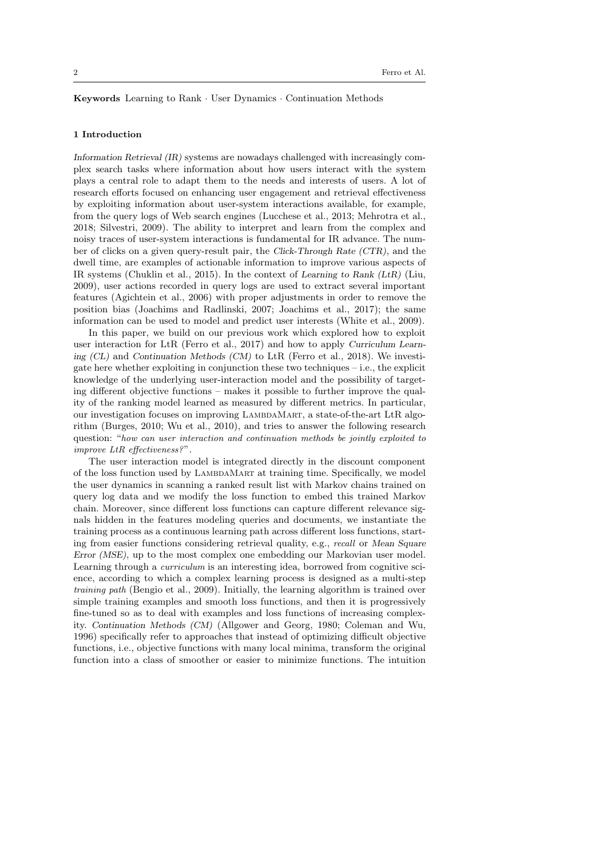Keywords Learning to Rank · User Dynamics · Continuation Methods

### 1 Introduction

Information Retrieval (IR) systems are nowadays challenged with increasingly complex search tasks where information about how users interact with the system plays a central role to adapt them to the needs and interests of users. A lot of research efforts focused on enhancing user engagement and retrieval effectiveness by exploiting information about user-system interactions available, for example, from the query logs of Web search engines (Lucchese et al., 2013; Mehrotra et al., 2018; Silvestri, 2009). The ability to interpret and learn from the complex and noisy traces of user-system interactions is fundamental for IR advance. The number of clicks on a given query-result pair, the Click-Through Rate (CTR), and the dwell time, are examples of actionable information to improve various aspects of IR systems (Chuklin et al., 2015). In the context of Learning to Rank (LtR) (Liu, 2009), user actions recorded in query logs are used to extract several important features (Agichtein et al., 2006) with proper adjustments in order to remove the position bias (Joachims and Radlinski, 2007; Joachims et al., 2017); the same information can be used to model and predict user interests (White et al., 2009).

In this paper, we build on our previous work which explored how to exploit user interaction for LtR (Ferro et al., 2017) and how to apply Curriculum Learning (CL) and Continuation Methods (CM) to LtR (Ferro et al., 2018). We investigate here whether exploiting in conjunction these two techniques – i.e., the explicit knowledge of the underlying user-interaction model and the possibility of targeting different objective functions – makes it possible to further improve the quality of the ranking model learned as measured by different metrics. In particular, our investigation focuses on improving LambdaMart, a state-of-the-art LtR algorithm (Burges, 2010; Wu et al., 2010), and tries to answer the following research question: "how can user interaction and continuation methods be jointly exploited to  $improve$   $\emph{LtR}$   $\emph{effectiveness?}$  ".

The user interaction model is integrated directly in the discount component of the loss function used by LAMBDAMART at training time. Specifically, we model the user dynamics in scanning a ranked result list with Markov chains trained on query log data and we modify the loss function to embed this trained Markov chain. Moreover, since different loss functions can capture different relevance signals hidden in the features modeling queries and documents, we instantiate the training process as a continuous learning path across different loss functions, starting from easier functions considering retrieval quality, e.g., recall or Mean Square Error (MSE), up to the most complex one embedding our Markovian user model. Learning through a curriculum is an interesting idea, borrowed from cognitive science, according to which a complex learning process is designed as a multi-step training path (Bengio et al., 2009). Initially, the learning algorithm is trained over simple training examples and smooth loss functions, and then it is progressively fine-tuned so as to deal with examples and loss functions of increasing complexity. Continuation Methods (CM) (Allgower and Georg, 1980; Coleman and Wu, 1996) specifically refer to approaches that instead of optimizing difficult objective functions, i.e., objective functions with many local minima, transform the original function into a class of smoother or easier to minimize functions. The intuition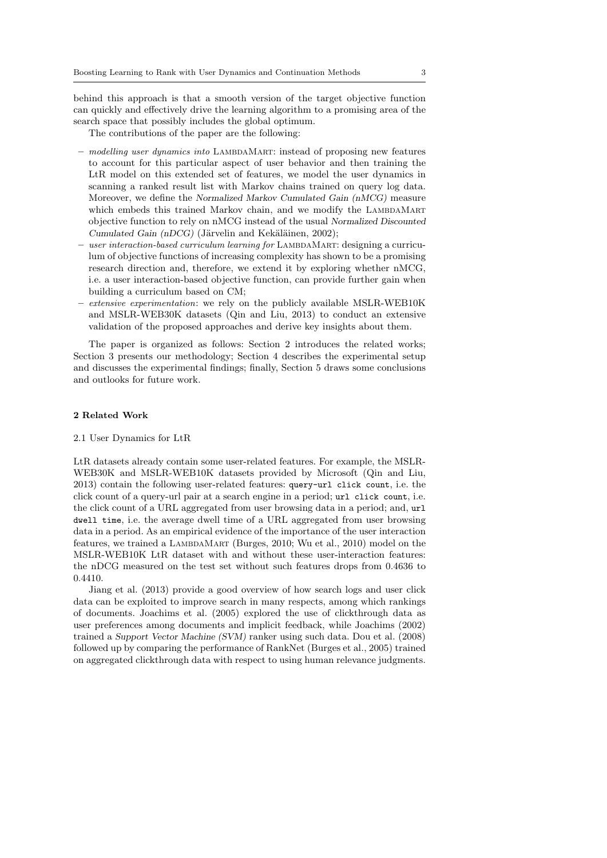behind this approach is that a smooth version of the target objective function can quickly and effectively drive the learning algorithm to a promising area of the search space that possibly includes the global optimum.

The contributions of the paper are the following:

- $-$  modelling user dynamics into LAMBDAMART: instead of proposing new features to account for this particular aspect of user behavior and then training the LtR model on this extended set of features, we model the user dynamics in scanning a ranked result list with Markov chains trained on query log data. Moreover, we define the Normalized Markov Cumulated Gain (nMCG) measure which embeds this trained Markov chain, and we modify the LAMBDAMART objective function to rely on nMCG instead of the usual Normalized Discounted Cumulated Gain (nDCG) (Järvelin and Kekäläinen, 2002);
- user interaction-based curriculum learning for LAMBDAMART: designing a curriculum of objective functions of increasing complexity has shown to be a promising research direction and, therefore, we extend it by exploring whether nMCG, i.e. a user interaction-based objective function, can provide further gain when building a curriculum based on CM;
- extensive experimentation: we rely on the publicly available MSLR-WEB10K and MSLR-WEB30K datasets (Qin and Liu, 2013) to conduct an extensive validation of the proposed approaches and derive key insights about them.

The paper is organized as follows: Section 2 introduces the related works; Section 3 presents our methodology; Section 4 describes the experimental setup and discusses the experimental findings; finally, Section 5 draws some conclusions and outlooks for future work.

# 2 Related Work

## 2.1 User Dynamics for LtR

LtR datasets already contain some user-related features. For example, the MSLR-WEB30K and MSLR-WEB10K datasets provided by Microsoft (Qin and Liu, 2013) contain the following user-related features: query-url click count, i.e. the click count of a query-url pair at a search engine in a period; url click count, i.e. the click count of a URL aggregated from user browsing data in a period; and, url dwell time, i.e. the average dwell time of a URL aggregated from user browsing data in a period. As an empirical evidence of the importance of the user interaction features, we trained a LAMBDAMART (Burges, 2010; Wu et al., 2010) model on the MSLR-WEB10K LtR dataset with and without these user-interaction features: the nDCG measured on the test set without such features drops from 0.4636 to 0.4410.

Jiang et al. (2013) provide a good overview of how search logs and user click data can be exploited to improve search in many respects, among which rankings of documents. Joachims et al. (2005) explored the use of clickthrough data as user preferences among documents and implicit feedback, while Joachims (2002) trained a Support Vector Machine (SVM) ranker using such data. Dou et al. (2008) followed up by comparing the performance of RankNet (Burges et al., 2005) trained on aggregated clickthrough data with respect to using human relevance judgments.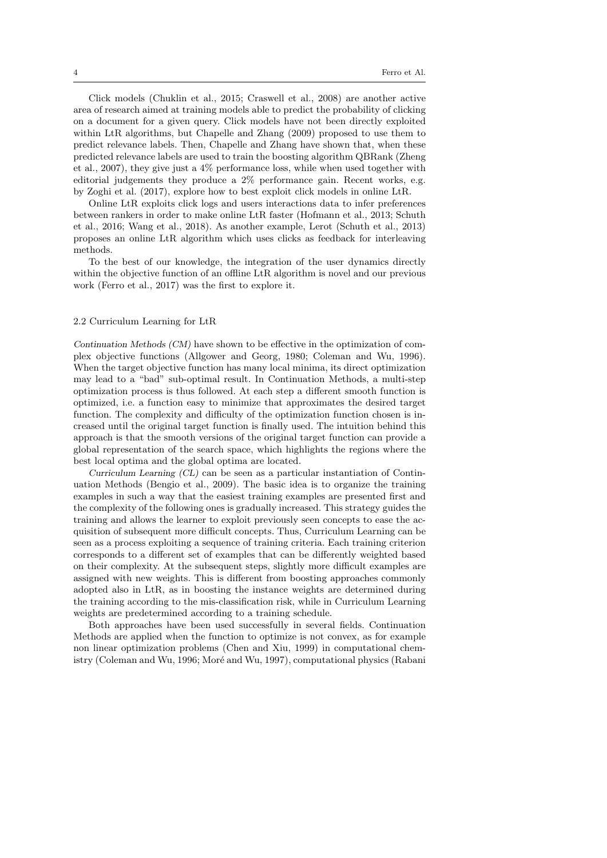Click models (Chuklin et al., 2015; Craswell et al., 2008) are another active area of research aimed at training models able to predict the probability of clicking on a document for a given query. Click models have not been directly exploited within LtR algorithms, but Chapelle and Zhang (2009) proposed to use them to predict relevance labels. Then, Chapelle and Zhang have shown that, when these predicted relevance labels are used to train the boosting algorithm QBRank (Zheng et al., 2007), they give just a 4% performance loss, while when used together with editorial judgements they produce a 2% performance gain. Recent works, e.g. by Zoghi et al. (2017), explore how to best exploit click models in online LtR.

Online LtR exploits click logs and users interactions data to infer preferences between rankers in order to make online LtR faster (Hofmann et al., 2013; Schuth et al., 2016; Wang et al., 2018). As another example, Lerot (Schuth et al., 2013) proposes an online LtR algorithm which uses clicks as feedback for interleaving methods.

To the best of our knowledge, the integration of the user dynamics directly within the objective function of an offline LtR algorithm is novel and our previous work (Ferro et al., 2017) was the first to explore it.

## 2.2 Curriculum Learning for LtR

Continuation Methods (CM) have shown to be effective in the optimization of complex objective functions (Allgower and Georg, 1980; Coleman and Wu, 1996). When the target objective function has many local minima, its direct optimization may lead to a "bad" sub-optimal result. In Continuation Methods, a multi-step optimization process is thus followed. At each step a different smooth function is optimized, i.e. a function easy to minimize that approximates the desired target function. The complexity and difficulty of the optimization function chosen is increased until the original target function is finally used. The intuition behind this approach is that the smooth versions of the original target function can provide a global representation of the search space, which highlights the regions where the best local optima and the global optima are located.

Curriculum Learning (CL) can be seen as a particular instantiation of Continuation Methods (Bengio et al., 2009). The basic idea is to organize the training examples in such a way that the easiest training examples are presented first and the complexity of the following ones is gradually increased. This strategy guides the training and allows the learner to exploit previously seen concepts to ease the acquisition of subsequent more difficult concepts. Thus, Curriculum Learning can be seen as a process exploiting a sequence of training criteria. Each training criterion corresponds to a different set of examples that can be differently weighted based on their complexity. At the subsequent steps, slightly more difficult examples are assigned with new weights. This is different from boosting approaches commonly adopted also in LtR, as in boosting the instance weights are determined during the training according to the mis-classification risk, while in Curriculum Learning weights are predetermined according to a training schedule.

Both approaches have been used successfully in several fields. Continuation Methods are applied when the function to optimize is not convex, as for example non linear optimization problems (Chen and Xiu, 1999) in computational chemistry (Coleman and Wu, 1996; Moré and Wu, 1997), computational physics (Rabani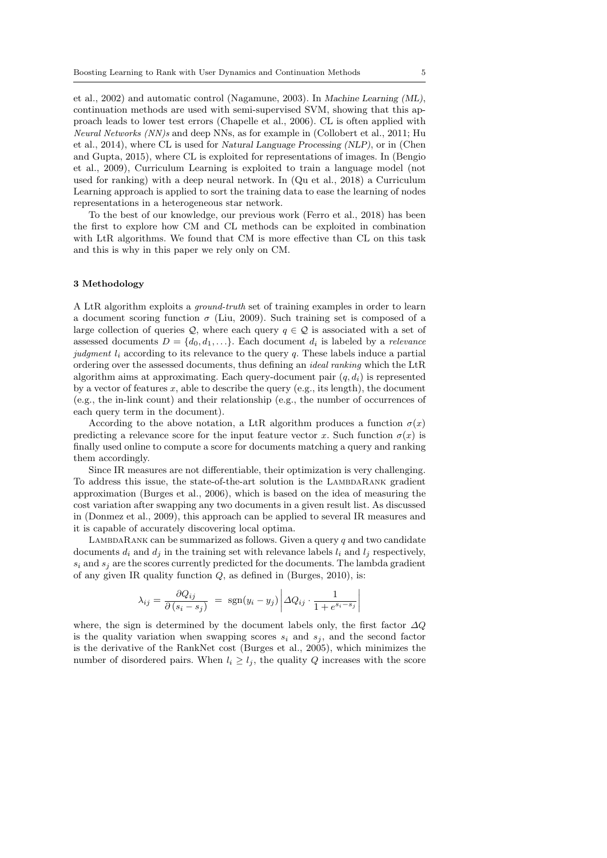et al., 2002) and automatic control (Nagamune, 2003). In Machine Learning (ML), continuation methods are used with semi-supervised SVM, showing that this approach leads to lower test errors (Chapelle et al., 2006). CL is often applied with Neural Networks (NN)s and deep NNs, as for example in (Collobert et al., 2011; Hu et al., 2014), where CL is used for Natural Language Processing (NLP), or in (Chen and Gupta, 2015), where CL is exploited for representations of images. In (Bengio et al., 2009), Curriculum Learning is exploited to train a language model (not used for ranking) with a deep neural network. In (Qu et al., 2018) a Curriculum Learning approach is applied to sort the training data to ease the learning of nodes representations in a heterogeneous star network.

To the best of our knowledge, our previous work (Ferro et al., 2018) has been the first to explore how CM and CL methods can be exploited in combination with LtR algorithms. We found that CM is more effective than CL on this task and this is why in this paper we rely only on CM.

# 3 Methodology

A LtR algorithm exploits a ground-truth set of training examples in order to learn a document scoring function  $\sigma$  (Liu, 2009). Such training set is composed of a large collection of queries  $Q$ , where each query  $q \in Q$  is associated with a set of assessed documents  $D = \{d_0, d_1, \ldots\}$ . Each document  $d_i$  is labeled by a *relevance* judgment  $l_i$  according to its relevance to the query q. These labels induce a partial ordering over the assessed documents, thus defining an ideal ranking which the LtR algorithm aims at approximating. Each query-document pair  $(q, d_i)$  is represented by a vector of features x, able to describe the query (e.g., its length), the document (e.g., the in-link count) and their relationship (e.g., the number of occurrences of each query term in the document).

According to the above notation, a LtR algorithm produces a function  $\sigma(x)$ predicting a relevance score for the input feature vector x. Such function  $\sigma(x)$  is finally used online to compute a score for documents matching a query and ranking them accordingly.

Since IR measures are not differentiable, their optimization is very challenging. To address this issue, the state-of-the-art solution is the LAMBDARANK gradient approximation (Burges et al., 2006), which is based on the idea of measuring the cost variation after swapping any two documents in a given result list. As discussed in (Donmez et al., 2009), this approach can be applied to several IR measures and it is capable of accurately discovering local optima.

LAMBDARANK can be summarized as follows. Given a query  $q$  and two candidate documents  $d_i$  and  $d_j$  in the training set with relevance labels  $l_i$  and  $l_j$  respectively,  $s_i$  and  $s_j$  are the scores currently predicted for the documents. The lambda gradient of any given IR quality function  $Q$ , as defined in (Burges, 2010), is:

$$
\lambda_{ij} = \frac{\partial Q_{ij}}{\partial (s_i - s_j)} = \text{sgn}(y_i - y_j) \left| \Delta Q_{ij} \cdot \frac{1}{1 + e^{s_i - s_j}} \right|
$$

where, the sign is determined by the document labels only, the first factor  $\Delta Q$ is the quality variation when swapping scores  $s_i$  and  $s_j$ , and the second factor is the derivative of the RankNet cost (Burges et al., 2005), which minimizes the number of disordered pairs. When  $l_i \geq l_j$ , the quality Q increases with the score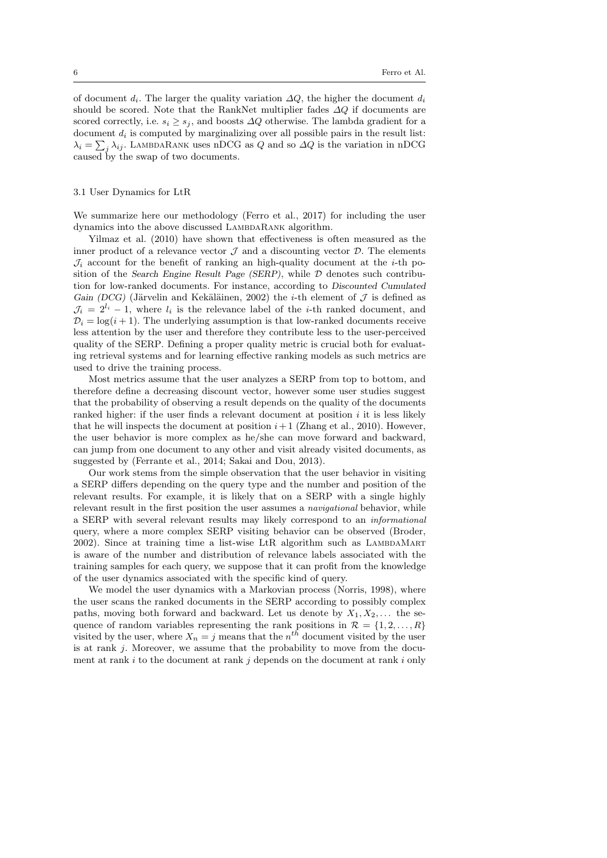of document  $d_i$ . The larger the quality variation  $\Delta Q$ , the higher the document  $d_i$ should be scored. Note that the RankNet multiplier fades  $\Delta Q$  if documents are scored correctly, i.e.  $s_i \geq s_j$ , and boosts  $\Delta Q$  otherwise. The lambda gradient for a document  $d_i$  is computed by marginalizing over all possible pairs in the result list:  $\lambda_i = \sum_j \lambda_{ij}$ . LAMBDARANK uses nDCG as Q and so  $\Delta Q$  is the variation in nDCG caused by the swap of two documents.

#### 3.1 User Dynamics for LtR

We summarize here our methodology (Ferro et al., 2017) for including the user dynamics into the above discussed LAMBDARANK algorithm.

Yilmaz et al. (2010) have shown that effectiveness is often measured as the inner product of a relevance vector  $\mathcal J$  and a discounting vector  $\mathcal D$ . The elements  $\mathcal{J}_i$  account for the benefit of ranking an high-quality document at the *i*-th position of the Search Engine Result Page (SERP), while  $D$  denotes such contribution for low-ranked documents. For instance, according to Discounted Cumulated Gain (DCG) (Järvelin and Kekäläinen, 2002) the *i*-th element of  $\mathcal J$  is defined as  $\mathcal{J}_i = 2^{l_i} - 1$ , where  $l_i$  is the relevance label of the *i*-th ranked document, and  $\mathcal{D}_i = \log(i+1)$ . The underlying assumption is that low-ranked documents receive less attention by the user and therefore they contribute less to the user-perceived quality of the SERP. Defining a proper quality metric is crucial both for evaluating retrieval systems and for learning effective ranking models as such metrics are used to drive the training process.

Most metrics assume that the user analyzes a SERP from top to bottom, and therefore define a decreasing discount vector, however some user studies suggest that the probability of observing a result depends on the quality of the documents ranked higher: if the user finds a relevant document at position  $i$  it is less likely that he will inspects the document at position  $i+1$  (Zhang et al., 2010). However, the user behavior is more complex as he/she can move forward and backward, can jump from one document to any other and visit already visited documents, as suggested by (Ferrante et al., 2014; Sakai and Dou, 2013).

Our work stems from the simple observation that the user behavior in visiting a SERP differs depending on the query type and the number and position of the relevant results. For example, it is likely that on a SERP with a single highly relevant result in the first position the user assumes a navigational behavior, while a SERP with several relevant results may likely correspond to an informational query, where a more complex SERP visiting behavior can be observed (Broder,  $2002$ ). Since at training time a list-wise LtR algorithm such as LAMBDAMART is aware of the number and distribution of relevance labels associated with the training samples for each query, we suppose that it can profit from the knowledge of the user dynamics associated with the specific kind of query.

We model the user dynamics with a Markovian process (Norris, 1998), where the user scans the ranked documents in the SERP according to possibly complex paths, moving both forward and backward. Let us denote by  $X_1, X_2, \ldots$  the sequence of random variables representing the rank positions in  $\mathcal{R} = \{1, 2, ..., R\}$ visited by the user, where  $X_n = j$  means that the  $n^{th}$  document visited by the user is at rank j. Moreover, we assume that the probability to move from the document at rank  $i$  to the document at rank  $j$  depends on the document at rank  $i$  only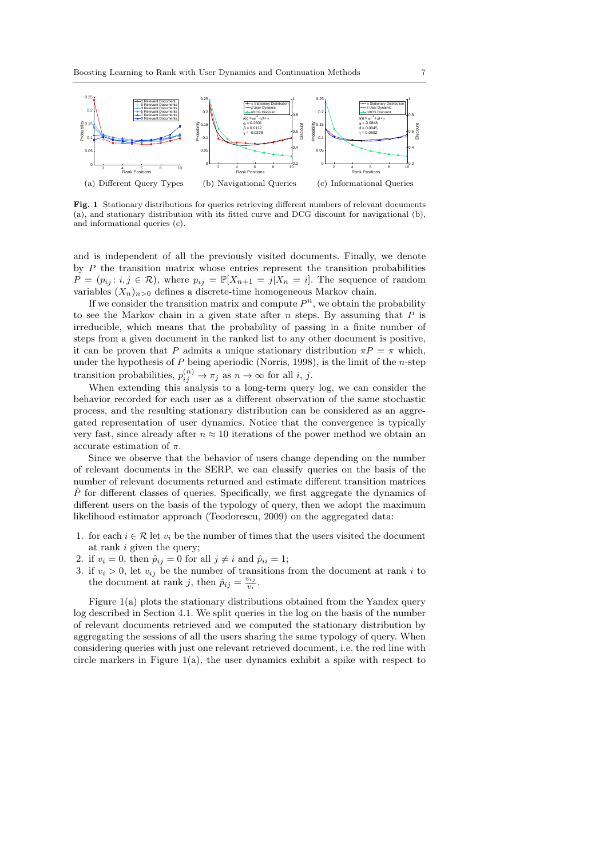

Fig. 1 Stationary distributions for queries retrieving different numbers of relevant documents (a), and stationary distribution with its fitted curve and DCG discount for navigational (b), and informational queries (c).

and is independent of all the previously visited documents. Finally, we denote by  $P$  the transition matrix whose entries represent the transition probabilities  $P = (p_{ij} : i, j \in \mathcal{R})$ , where  $p_{ij} = \mathbb{P}[X_{n+1} = j | X_n = i]$ . The sequence of random variables  $(X_n)_{n>0}$  defines a discrete-time homogeneous Markov chain.

If we consider the transition matrix and compute  $P<sup>n</sup>$ , we obtain the probability to see the Markov chain in a given state after  $n$  steps. By assuming that  $P$  is irreducible, which means that the probability of passing in a finite number of steps from a given document in the ranked list to any other document is positive, it can be proven that P admits a unique stationary distribution  $\pi P = \pi$  which, under the hypothesis of  $P$  being aperiodic (Norris, 1998), is the limit of the  $n$ -step transition probabilities,  $p_{ij}^{(n)} \to \pi_j$  as  $n \to \infty$  for all *i*, *j*.

When extending this analysis to a long-term query log, we can consider the behavior recorded for each user as a different observation of the same stochastic process, and the resulting stationary distribution can be considered as an aggregated representation of user dynamics. Notice that the convergence is typically very fast, since already after  $n \approx 10$  iterations of the power method we obtain an accurate estimation of  $\pi$ .

Since we observe that the behavior of users change depending on the number of relevant documents in the SERP, we can classify queries on the basis of the number of relevant documents returned and estimate different transition matrices  $\hat{P}$  for different classes of queries. Specifically, we first aggregate the dynamics of different users on the basis of the typology of query, then we adopt the maximum likelihood estimator approach (Teodorescu, 2009) on the aggregated data:

- 1. for each  $i \in \mathcal{R}$  let  $v_i$  be the number of times that the users visited the document at rank i given the query;
- 2. if  $v_i = 0$ , then  $\hat{p}_{ij} = 0$  for all  $j \neq i$  and  $\hat{p}_{ii} = 1$ ;
- 3. if  $v_i > 0$ , let  $v_{ij}$  be the number of transitions from the document at rank i to the document at rank j, then  $\hat{p}_{ij} = \frac{v_{ij}}{v_i}$ .

Figure 1(a) plots the stationary distributions obtained from the Yandex query log described in Section 4.1. We split queries in the log on the basis of the number of relevant documents retrieved and we computed the stationary distribution by aggregating the sessions of all the users sharing the same typology of query. When considering queries with just one relevant retrieved document, i.e. the red line with circle markers in Figure  $1(a)$ , the user dynamics exhibit a spike with respect to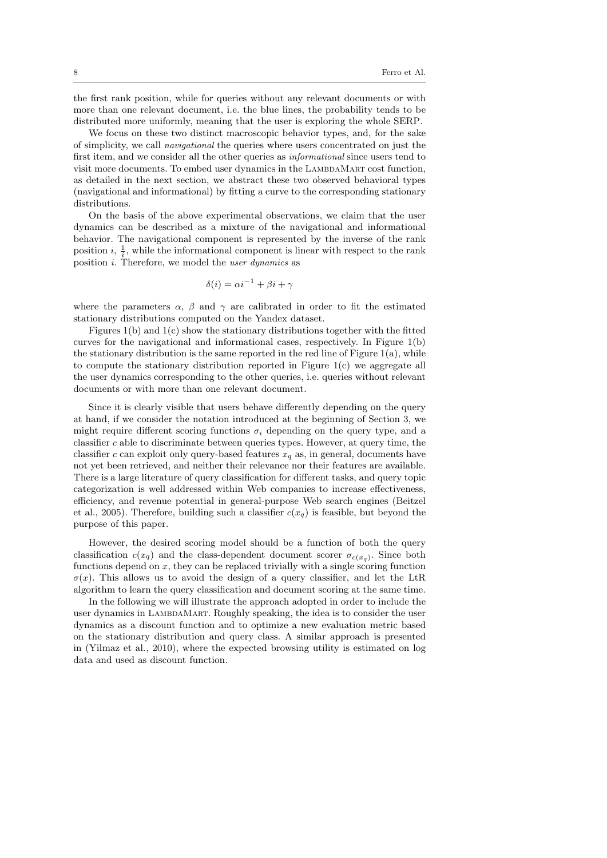the first rank position, while for queries without any relevant documents or with more than one relevant document, i.e. the blue lines, the probability tends to be distributed more uniformly, meaning that the user is exploring the whole SERP.

We focus on these two distinct macroscopic behavior types, and, for the sake of simplicity, we call navigational the queries where users concentrated on just the first item, and we consider all the other queries as informational since users tend to visit more documents. To embed user dynamics in the LAMBDAMART cost function, as detailed in the next section, we abstract these two observed behavioral types (navigational and informational) by fitting a curve to the corresponding stationary distributions.

On the basis of the above experimental observations, we claim that the user dynamics can be described as a mixture of the navigational and informational behavior. The navigational component is represented by the inverse of the rank position  $i, \frac{1}{i}$ , while the informational component is linear with respect to the rank position i. Therefore, we model the user dynamics as

$$
\delta(i) = \alpha i^{-1} + \beta i + \gamma
$$

where the parameters  $\alpha$ ,  $\beta$  and  $\gamma$  are calibrated in order to fit the estimated stationary distributions computed on the Yandex dataset.

Figures 1(b) and 1(c) show the stationary distributions together with the fitted curves for the navigational and informational cases, respectively. In Figure 1(b) the stationary distribution is the same reported in the red line of Figure 1(a), while to compute the stationary distribution reported in Figure 1(c) we aggregate all the user dynamics corresponding to the other queries, i.e. queries without relevant documents or with more than one relevant document.

Since it is clearly visible that users behave differently depending on the query at hand, if we consider the notation introduced at the beginning of Section 3, we might require different scoring functions  $\sigma_i$  depending on the query type, and a classifier  $c$  able to discriminate between queries types. However, at query time, the classifier c can exploit only query-based features  $x<sub>q</sub>$  as, in general, documents have not yet been retrieved, and neither their relevance nor their features are available. There is a large literature of query classification for different tasks, and query topic categorization is well addressed within Web companies to increase effectiveness, efficiency, and revenue potential in general-purpose Web search engines (Beitzel et al., 2005). Therefore, building such a classifier  $c(x_q)$  is feasible, but beyond the purpose of this paper.

However, the desired scoring model should be a function of both the query classification  $c(x_q)$  and the class-dependent document scorer  $\sigma_{c(x_q)}$ . Since both functions depend on x, they can be replaced trivially with a single scoring function  $\sigma(x)$ . This allows us to avoid the design of a query classifier, and let the LtR algorithm to learn the query classification and document scoring at the same time.

In the following we will illustrate the approach adopted in order to include the user dynamics in LambdaMart. Roughly speaking, the idea is to consider the user dynamics as a discount function and to optimize a new evaluation metric based on the stationary distribution and query class. A similar approach is presented in (Yilmaz et al., 2010), where the expected browsing utility is estimated on log data and used as discount function.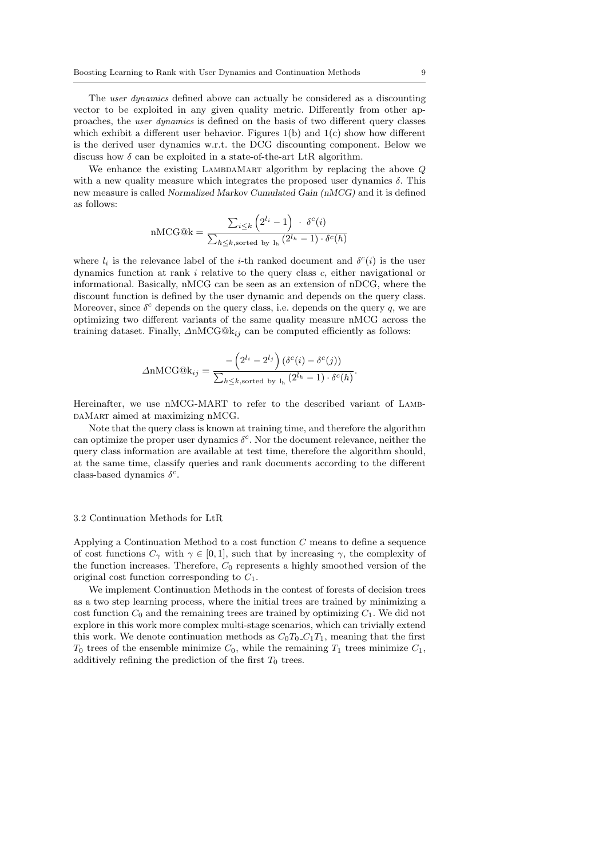The user dynamics defined above can actually be considered as a discounting vector to be exploited in any given quality metric. Differently from other approaches, the user dynamics is defined on the basis of two different query classes which exhibit a different user behavior. Figures  $1(b)$  and  $1(c)$  show how different is the derived user dynamics w.r.t. the DCG discounting component. Below we discuss how  $\delta$  can be exploited in a state-of-the-art LtR algorithm.

We enhance the existing LAMBDAMART algorithm by replacing the above  $Q$ with a new quality measure which integrates the proposed user dynamics  $\delta$ . This new measure is called Normalized Markov Cumulated Gain (nMCG) and it is defined as follows:

$$
nMCG@k = \frac{\sum_{i \leq k} (2^{l_i} - 1) \cdot \delta^{c}(i)}{\sum_{h \leq k, \text{sorted by } l_h} (2^{l_h} - 1) \cdot \delta^{c}(h)}
$$

where  $l_i$  is the relevance label of the *i*-th ranked document and  $\delta^c(i)$  is the user dynamics function at rank i relative to the query class c, either navigational or informational. Basically, nMCG can be seen as an extension of nDCG, where the discount function is defined by the user dynamic and depends on the query class. Moreover, since  $\delta^c$  depends on the query class, i.e. depends on the query q, we are optimizing two different variants of the same quality measure nMCG across the training dataset. Finally,  $\triangle nMCG@k_{ij}$  can be computed efficiently as follows:

$$
\Delta \text{nMCG@k}_{ij} = \frac{-\left(2^{l_i} - 2^{l_j}\right)\left(\delta^c(i) - \delta^c(j)\right)}{\sum_{h \le k, \text{sorted by } l_h}\left(2^{l_h} - 1\right) \cdot \delta^c(h)}
$$

.

Hereinafter, we use nMCG-MART to refer to the described variant of LambdaMart aimed at maximizing nMCG.

Note that the query class is known at training time, and therefore the algorithm can optimize the proper user dynamics  $\delta^c$ . Nor the document relevance, neither the query class information are available at test time, therefore the algorithm should, at the same time, classify queries and rank documents according to the different class-based dynamics  $\delta^c$ .

# 3.2 Continuation Methods for LtR

Applying a Continuation Method to a cost function C means to define a sequence of cost functions  $C_\gamma$  with  $\gamma \in [0, 1]$ , such that by increasing  $\gamma$ , the complexity of the function increases. Therefore,  $C_0$  represents a highly smoothed version of the original cost function corresponding to  $C_1$ .

We implement Continuation Methods in the contest of forests of decision trees as a two step learning process, where the initial trees are trained by minimizing a cost function  $C_0$  and the remaining trees are trained by optimizing  $C_1$ . We did not explore in this work more complex multi-stage scenarios, which can trivially extend this work. We denote continuation methods as  $C_0T_0$ ,  $C_1T_1$ , meaning that the first  $T_0$  trees of the ensemble minimize  $C_0$ , while the remaining  $T_1$  trees minimize  $C_1$ , additively refining the prediction of the first  $T_0$  trees.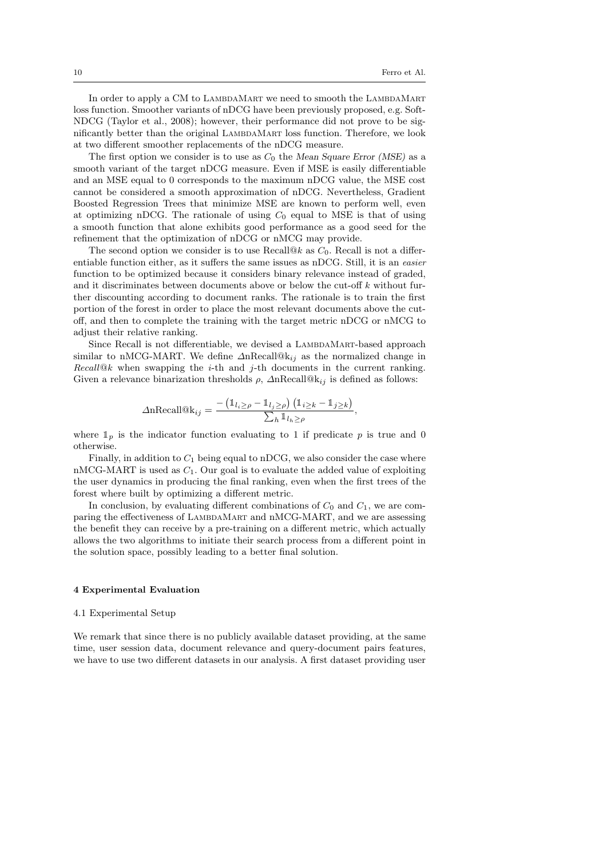In order to apply a CM to LAMBDAMART we need to smooth the LAMBDAMART loss function. Smoother variants of nDCG have been previously proposed, e.g. Soft-NDCG (Taylor et al., 2008); however, their performance did not prove to be significantly better than the original LambdaMart loss function. Therefore, we look at two different smoother replacements of the nDCG measure.

The first option we consider is to use as  $C_0$  the Mean Square Error (MSE) as a smooth variant of the target nDCG measure. Even if MSE is easily differentiable and an MSE equal to 0 corresponds to the maximum nDCG value, the MSE cost cannot be considered a smooth approximation of nDCG. Nevertheless, Gradient Boosted Regression Trees that minimize MSE are known to perform well, even at optimizing nDCG. The rationale of using  $C_0$  equal to MSE is that of using a smooth function that alone exhibits good performance as a good seed for the refinement that the optimization of nDCG or nMCG may provide.

The second option we consider is to use Recall@k as  $C_0$ . Recall is not a differentiable function either, as it suffers the same issues as nDCG. Still, it is an easier function to be optimized because it considers binary relevance instead of graded, and it discriminates between documents above or below the cut-off  $k$  without further discounting according to document ranks. The rationale is to train the first portion of the forest in order to place the most relevant documents above the cutoff, and then to complete the training with the target metric nDCG or nMCG to adjust their relative ranking.

Since Recall is not differentiable, we devised a LAMBDAMART-based approach similar to nMCG-MART. We define  $\triangle n$ Recall@k<sub>ij</sub> as the normalized change in Recall@k when swapping the *i*-th and *j*-th documents in the current ranking. Given a relevance binarization thresholds  $\rho$ ,  $\Delta n$ Recall@k<sub>ij</sub> is defined as follows:

$$
\Delta \text{nRecall@k}_{ij} = \frac{-\left(\mathbb{1}_{l_i \geq \rho} - \mathbb{1}_{l_j \geq \rho}\right)\left(\mathbb{1}_{i \geq k} - \mathbb{1}_{j \geq k}\right)}{\sum_{h} \mathbb{1}_{l_h \geq \rho}},
$$

where  $1_p$  is the indicator function evaluating to 1 if predicate p is true and 0 otherwise.

Finally, in addition to  $C_1$  being equal to nDCG, we also consider the case where nMCG-MART is used as  $C_1$ . Our goal is to evaluate the added value of exploiting the user dynamics in producing the final ranking, even when the first trees of the forest where built by optimizing a different metric.

In conclusion, by evaluating different combinations of  $C_0$  and  $C_1$ , we are comparing the effectiveness of LambdaMart and nMCG-MART, and we are assessing the benefit they can receive by a pre-training on a different metric, which actually allows the two algorithms to initiate their search process from a different point in the solution space, possibly leading to a better final solution.

# 4 Experimental Evaluation

#### 4.1 Experimental Setup

We remark that since there is no publicly available dataset providing, at the same time, user session data, document relevance and query-document pairs features, we have to use two different datasets in our analysis. A first dataset providing user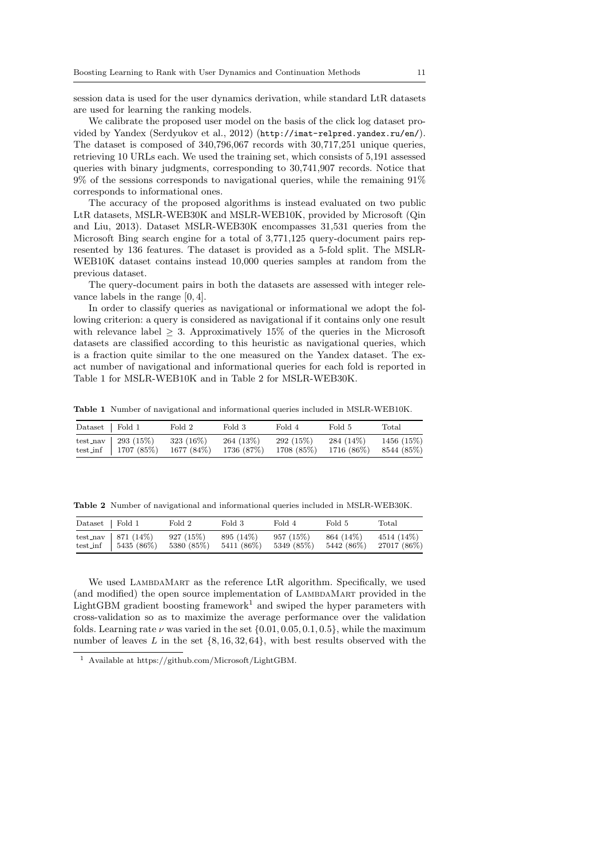session data is used for the user dynamics derivation, while standard LtR datasets are used for learning the ranking models.

We calibrate the proposed user model on the basis of the click log dataset provided by Yandex (Serdyukov et al., 2012) (http://imat-relpred.yandex.ru/en/). The dataset is composed of 340,796,067 records with 30,717,251 unique queries, retrieving 10 URLs each. We used the training set, which consists of 5,191 assessed queries with binary judgments, corresponding to 30,741,907 records. Notice that 9% of the sessions corresponds to navigational queries, while the remaining 91% corresponds to informational ones.

The accuracy of the proposed algorithms is instead evaluated on two public LtR datasets, MSLR-WEB30K and MSLR-WEB10K, provided by Microsoft (Qin and Liu, 2013). Dataset MSLR-WEB30K encompasses 31,531 queries from the Microsoft Bing search engine for a total of 3,771,125 query-document pairs represented by 136 features. The dataset is provided as a 5-fold split. The MSLR-WEB10K dataset contains instead 10,000 queries samples at random from the previous dataset.

The query-document pairs in both the datasets are assessed with integer relevance labels in the range [0, 4].

In order to classify queries as navigational or informational we adopt the following criterion: a query is considered as navigational if it contains only one result with relevance label  $\geq 3$ . Approximatively 15% of the queries in the Microsoft datasets are classified according to this heuristic as navigational queries, which is a fraction quite similar to the one measured on the Yandex dataset. The exact number of navigational and informational queries for each fold is reported in Table 1 for MSLR-WEB10K and in Table 2 for MSLR-WEB30K.

Table 1 Number of navigational and informational queries included in MSLR-WEB10K.

| Dataset   Fold 1       | Fold 2     | Fold 3     | Fold 4     | Fold 5     | Total      |
|------------------------|------------|------------|------------|------------|------------|
| test_nav   293 $(15%)$ | 323 (16\%) | 264 (13\%) | 292(15%)   | 284 (14\%) | 1456 (15%) |
| test_inf   $1707(85%)$ | 1677 (84%) | 1736 (87%) | 1708 (85%) | 1716 (86%) | 8544 (85%) |

Table 2 Number of navigational and informational queries included in MSLR-WEB30K.

| Dataset Fold 1         | Fold 2     | Fold 3     | Fold 4     | Fold 5     | Total       |
|------------------------|------------|------------|------------|------------|-------------|
| test_nav   871 $(14%)$ | 927(15%)   | 895 (14\%) | 957 (15%)  | 864 (14\%) | 4514 (14%)  |
| test_inf   $5435(86%)$ | 5380 (85%) | 5411 (86%) | 5349 (85%) | 5442 (86%) | 27017 (86%) |

We used LAMBDAMART as the reference LtR algorithm. Specifically, we used (and modified) the open source implementation of LAMBDAMART provided in the LightGBM gradient boosting framework<sup>1</sup> and swiped the hyper parameters with cross-validation so as to maximize the average performance over the validation folds. Learning rate  $\nu$  was varied in the set  $\{0.01, 0.05, 0.1, 0.5\}$ , while the maximum number of leaves L in the set  $\{8, 16, 32, 64\}$ , with best results observed with the

<sup>1</sup> Available at https://github.com/Microsoft/LightGBM.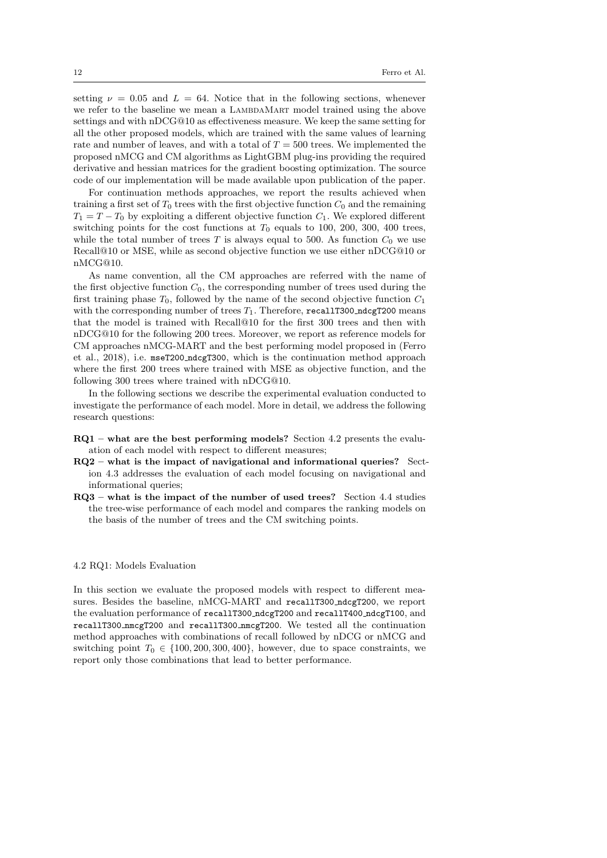setting  $\nu = 0.05$  and  $L = 64$ . Notice that in the following sections, whenever we refer to the baseline we mean a LAMBDAMART model trained using the above settings and with nDCG@10 as effectiveness measure. We keep the same setting for all the other proposed models, which are trained with the same values of learning rate and number of leaves, and with a total of  $T = 500$  trees. We implemented the proposed nMCG and CM algorithms as LightGBM plug-ins providing the required derivative and hessian matrices for the gradient boosting optimization. The source code of our implementation will be made available upon publication of the paper.

For continuation methods approaches, we report the results achieved when training a first set of  $T_0$  trees with the first objective function  $C_0$  and the remaining  $T_1 = T - T_0$  by exploiting a different objective function  $C_1$ . We explored different switching points for the cost functions at  $T_0$  equals to 100, 200, 300, 400 trees, while the total number of trees  $T$  is always equal to 500. As function  $C_0$  we use Recall@10 or MSE, while as second objective function we use either nDCG@10 or nMCG@10.

As name convention, all the CM approaches are referred with the name of the first objective function  $C_0$ , the corresponding number of trees used during the first training phase  $T_0$ , followed by the name of the second objective function  $C_1$ with the corresponding number of trees  $T_1$ . Therefore, recallT300 ndcgT200 means that the model is trained with Recall@10 for the first 300 trees and then with nDCG@10 for the following 200 trees. Moreover, we report as reference models for CM approaches nMCG-MART and the best performing model proposed in (Ferro et al., 2018), i.e. mseT200 ndcgT300, which is the continuation method approach where the first 200 trees where trained with MSE as objective function, and the following 300 trees where trained with nDCG@10.

In the following sections we describe the experimental evaluation conducted to investigate the performance of each model. More in detail, we address the following research questions:

- RQ1 what are the best performing models? Section 4.2 presents the evaluation of each model with respect to different measures;
- RQ2 what is the impact of navigational and informational queries? Section 4.3 addresses the evaluation of each model focusing on navigational and informational queries;
- RQ3 what is the impact of the number of used trees? Section 4.4 studies the tree-wise performance of each model and compares the ranking models on the basis of the number of trees and the CM switching points.

## 4.2 RQ1: Models Evaluation

In this section we evaluate the proposed models with respect to different measures. Besides the baseline, nMCG-MART and recallT300 ndcgT200, we report the evaluation performance of recallT300 ndcgT200 and recallT400 ndcgT100, and recallT300 nmcgT200 and recallT300 nmcgT200. We tested all the continuation method approaches with combinations of recall followed by nDCG or nMCG and switching point  $T_0 \in \{100, 200, 300, 400\}$ , however, due to space constraints, we report only those combinations that lead to better performance.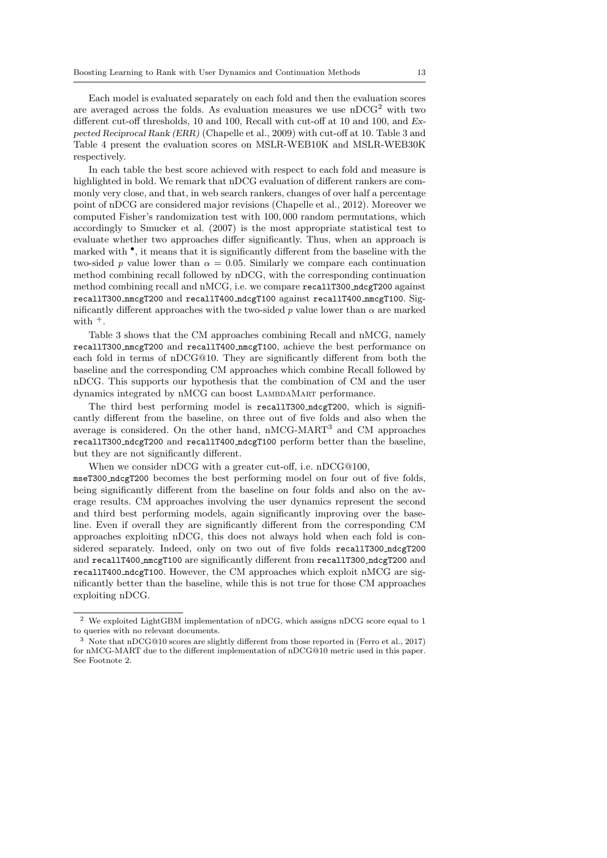Each model is evaluated separately on each fold and then the evaluation scores are averaged across the folds. As evaluation measures we use  $nDCG<sup>2</sup>$  with two different cut-off thresholds, 10 and 100, Recall with cut-off at 10 and 100, and Expected Reciprocal Rank (ERR) (Chapelle et al., 2009) with cut-off at 10. Table 3 and Table 4 present the evaluation scores on MSLR-WEB10K and MSLR-WEB30K respectively.

In each table the best score achieved with respect to each fold and measure is highlighted in bold. We remark that nDCG evaluation of different rankers are commonly very close, and that, in web search rankers, changes of over half a percentage point of nDCG are considered major revisions (Chapelle et al., 2012). Moreover we computed Fisher's randomization test with 100, 000 random permutations, which accordingly to Smucker et al. (2007) is the most appropriate statistical test to evaluate whether two approaches differ significantly. Thus, when an approach is marked with  $\bullet$ , it means that it is significantly different from the baseline with the two-sided p value lower than  $\alpha = 0.05$ . Similarly we compare each continuation method combining recall followed by nDCG, with the corresponding continuation method combining recall and nMCG, i.e. we compare recallT300 ndcgT200 against recallT300 nmcgT200 and recallT400 ndcgT100 against recallT400 nmcgT100. Significantly different approaches with the two-sided p value lower than  $\alpha$  are marked with  $^+$ .

Table 3 shows that the CM approaches combining Recall and nMCG, namely recallT300 nmcgT200 and recallT400 nmcgT100, achieve the best performance on each fold in terms of nDCG@10. They are significantly different from both the baseline and the corresponding CM approaches which combine Recall followed by nDCG. This supports our hypothesis that the combination of CM and the user dynamics integrated by nMCG can boost LAMBDAMART performance.

The third best performing model is recallT300 ndcgT200, which is significantly different from the baseline, on three out of five folds and also when the average is considered. On the other hand, nMCG-MART<sup>3</sup> and CM approaches recallT300 ndcgT200 and recallT400 ndcgT100 perform better than the baseline, but they are not significantly different.

When we consider nDCG with a greater cut-off, i.e. nDCG@100,

mseT300 ndcgT200 becomes the best performing model on four out of five folds, being significantly different from the baseline on four folds and also on the average results. CM approaches involving the user dynamics represent the second and third best performing models, again significantly improving over the baseline. Even if overall they are significantly different from the corresponding CM approaches exploiting nDCG, this does not always hold when each fold is considered separately. Indeed, only on two out of five folds recallT300 ndcgT200 and recallT400 nmcgT100 are significantly different from recallT300 ndcgT200 and recallT400 ndcgT100. However, the CM approaches which exploit nMCG are significantly better than the baseline, while this is not true for those CM approaches exploiting nDCG.

<sup>2</sup> We exploited LightGBM implementation of nDCG, which assigns nDCG score equal to 1 to queries with no relevant documents.

<sup>3</sup> Note that nDCG@10 scores are slightly different from those reported in (Ferro et al., 2017) for nMCG-MART due to the different implementation of nDCG@10 metric used in this paper. See Footnote 2.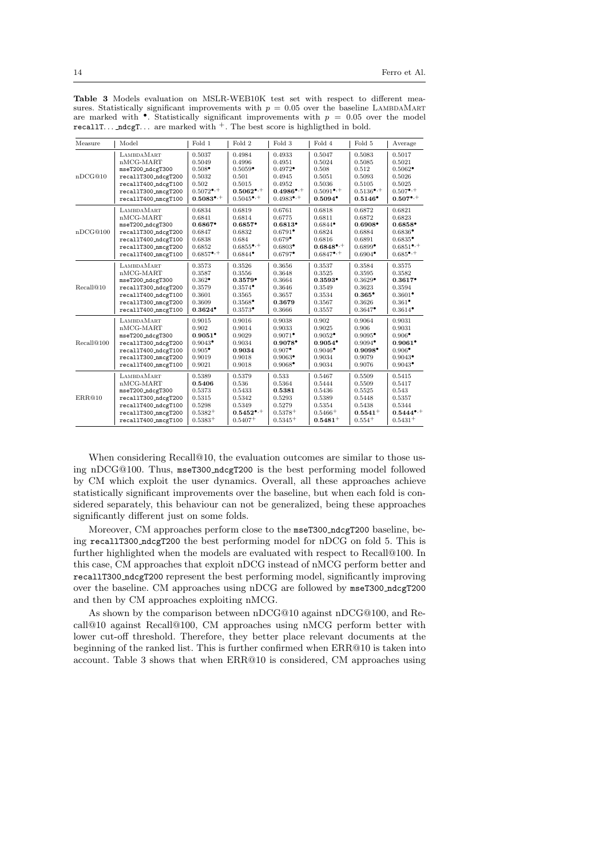| Measure    | Model               | Fold 1                        | Fold 2                | Fold 3                | Fold 4                | Fold 5                | Average                                                 |
|------------|---------------------|-------------------------------|-----------------------|-----------------------|-----------------------|-----------------------|---------------------------------------------------------|
| nDCG@10    | LAMBDAMART          | 0.5037                        | 0.4984                | 0.4933                | 0.5047                | 0.5083                | 0.5017                                                  |
|            | nMCG-MART           | 0.5049                        | 0.4996                | 0.4951                | 0.5024                | 0.5085                | 0.5021                                                  |
|            | mseT200_ndcgT300    | $0.508^{\bullet}$             | $0.5059$ <sup>*</sup> | $0.4972$ <sup>*</sup> | 0.508                 | 0.512                 | $0.5062$ <sup>*</sup>                                   |
|            | recallT300_ndcgT200 | 0.5032                        | 0.501                 | 0.4945                | 0.5051                | 0.5093                | 0.5026                                                  |
|            | recallT400_ndcgT100 | 0.502                         | 0.5015                | 0.4952                | 0.5036                | 0.5105                | 0.5025                                                  |
|            | recallT300_nmcgT200 | $0.5072^{\bullet,+}$          | $0.5062^{\bullet,+}$  | $0.4986^{\bullet,+}$  | $0.5091^{\bullet,+}$  | $0.5136^{\bullet,+}$  | $0.507^{\bullet,+}$                                     |
|            | recallT400_nmcgT100 | $\mathbf{0.5083}^{\bullet,+}$ | $0.5045^{\bullet,+}$  | $0.4983^{\bullet,+}$  | 0.5094                | $0.5146^{\bullet}$    | $0.507^{\bullet,+}$                                     |
| nDCG@100   | LAMBDAMART          | 0.6834                        | 0.6819                | 0.6761                | 0.6818                | 0.6872                | 0.6821                                                  |
|            | nMCG-MART           | 0.6841                        | 0.6814                | 0.6775                | 0.6811                | 0.6872                | 0.6823                                                  |
|            | mseT200_ndcgT300    | 0.6867                        | 0.6857                | $0.6813$ *            | $0.6844$ <sup>•</sup> | $0.6908^*$            | $0.6858$ *                                              |
|            | recallT300_ndcgT200 | 0.6847                        | 0.6832                | $0.6791$ <sup>*</sup> | 0.6824                | 0.6884                | $0.6836$ <sup>*</sup>                                   |
|            | recallT400_ndcgT100 | 0.6838                        | 0.684                 | $0.679^{\bullet}$     | 0.6816                | 0.6891                | $0.6835^{\bullet}$                                      |
|            | recallT300_nmcgT200 | 0.6852                        | 0.6855                | $0.6803$ *            | $0.6848^{\bullet,+}$  | $0.6899$ <sup>*</sup> | $0.6851$ <sup><math>\bullet</math></sup> , <sup>+</sup> |
|            | recallT400_nmcgT100 | $0.6857^{\bullet,+}$          | $0.6844$ <sup>*</sup> | $0.6797$ <sup>*</sup> | $0.6847^{\bullet,+}$  | $0.6904^{\bullet}$    | $0.685^{\bullet,+}$                                     |
| Recall@10  | LAMBDAMART          | 0.3573                        | 0.3526                | 0.3656                | 0.3537                | 0.3584                | 0.3575                                                  |
|            | nMCG-MART           | 0.3587                        | 0.3556                | 0.3648                | 0.3525                | 0.3595                | 0.3582                                                  |
|            | mseT200_ndcgT300    | $0.362^{\bullet}$             | $0.3579$ <sup>*</sup> | 0.3664                | $0.3593^{\bullet}$    | $0.3629^{\bullet}$    | $0.3617^{\bullet}$                                      |
|            | recallT300_ndcgT200 | 0.3579                        | $0.3574$ <sup>*</sup> | 0.3646                | 0.3549                | 0.3623                | 0.3594                                                  |
|            | recallT400_ndcgT100 | 0.3601                        | 0.3565                | 0.3657                | 0.3534                | $0.365$ *             | $0.3601^{\bullet}$                                      |
|            | recallT300_nmcgT200 | 0.3609                        | $0.3568$ <sup>*</sup> | 0.3679                | 0.3567                | 0.3626                | $0.361$ <sup>*</sup>                                    |
|            | recallT400_nmcgT100 | $0.3624^{\circ}$              | $0.3573$ <sup>*</sup> | 0.3666                | 0.3557                | $0.3647$ <sup>*</sup> | $0.3614^{\bullet}$                                      |
| Recall@100 | LAMBDAMART          | 0.9015                        | 0.9016                | 0.9038                | 0.902                 | 0.9064                | 0.9031                                                  |
|            | nMCG-MART           | 0.902                         | 0.9014                | 0.9033                | 0.9025                | 0.906                 | 0.9031                                                  |
|            | mseT200_ndcgT300    | 0.9051                        | 0.9029                | $0.9071$ <sup>*</sup> | $0.9052$ <sup>*</sup> | $0.9095$ <sup>*</sup> | $0.906^{\bullet}$                                       |
|            | recallT300_ndcgT200 | $0.9043^{\bullet}$            | 0.9034                | $0.9078$ <sup>*</sup> | $0.9054$ <sup>*</sup> | $0.9094$ <sup>*</sup> | 0.9061                                                  |
|            | recallT400_ndcgT100 | $0.905^{\bullet}$             | 0.9034                | $0.907$ <sup>*</sup>  | $0.9046$ <sup>*</sup> | $0.9098^{\bullet}$    | $0.906^{\bullet}$                                       |
|            | recallT300_nmcgT200 | 0.9019                        | 0.9018                | $0.9063^{\bullet}$    | 0.9034                | 0.9079                | $0.9043^{\bullet}$                                      |
|            | recallT400_nmcgT100 | 0.9021                        | 0.9018                | $0.9068^{\bullet}$    | 0.9034                | 0.9076                | $0.9043^{\bullet}$                                      |
| ERR@10     | LAMBDAMART          | 0.5389                        | 0.5379                | 0.533                 | 0.5467                | 0.5509                | 0.5415                                                  |
|            | nMCG-MART           | 0.5406                        | 0.536                 | 0.5364                | 0.5444                | 0.5509                | 0.5417                                                  |
|            | mseT200_ndcgT300    | 0.5373                        | 0.5433                | 0.5381                | 0.5436                | 0.5525                | 0.543                                                   |
|            | recallT300_ndcgT200 | 0.5315                        | 0.5342                | 0.5293                | 0.5389                | 0.5448                | 0.5357                                                  |
|            | recallT400_ndcgT100 | 0.5298                        | 0.5349                | 0.5279                | 0.5354                | 0.5438                | 0.5344                                                  |
|            | recallT300_nmcgT200 | $0.5382^{+}$                  | $0.5452^{\bullet,+}$  | $0.5378 +$            | $0.5466+$             | $0.5541^{+}$          | $0.5444^{\bullet,+}$                                    |
|            | recallT400_nmcgT100 | $0.5383+$                     | $0.5407+$             | $0.5345+$             | $0.5481^{+}$          | $0.554+$              | $0.5431+$                                               |

Table 3 Models evaluation on MSLR-WEB10K test set with respect to different measures. Statistically significant improvements with  $p = 0.05$  over the baseline LAMBDAMART are marked with •. Statistically significant improvements with  $p = 0.05$  over the model  $\texttt{recallT} \ldots \texttt{ndcgT} \ldots$  are marked with  $^+$ . The best score is highligthed in bold.

When considering Recall@10, the evaluation outcomes are similar to those using nDCG@100. Thus, mseT300 ndcgT200 is the best performing model followed by CM which exploit the user dynamics. Overall, all these approaches achieve statistically significant improvements over the baseline, but when each fold is considered separately, this behaviour can not be generalized, being these approaches significantly different just on some folds.

Moreover, CM approaches perform close to the mseT300 ndcgT200 baseline, being recallT300 ndcgT200 the best performing model for nDCG on fold 5. This is further highlighted when the models are evaluated with respect to Recall@100. In this case, CM approaches that exploit nDCG instead of nMCG perform better and recallT300 ndcgT200 represent the best performing model, significantly improving over the baseline. CM approaches using nDCG are followed by mseT300 ndcgT200 and then by CM approaches exploiting nMCG.

As shown by the comparison between nDCG@10 against nDCG@100, and Recall@10 against Recall@100, CM approaches using nMCG perform better with lower cut-off threshold. Therefore, they better place relevant documents at the beginning of the ranked list. This is further confirmed when ERR@10 is taken into account. Table 3 shows that when ERR@10 is considered, CM approaches using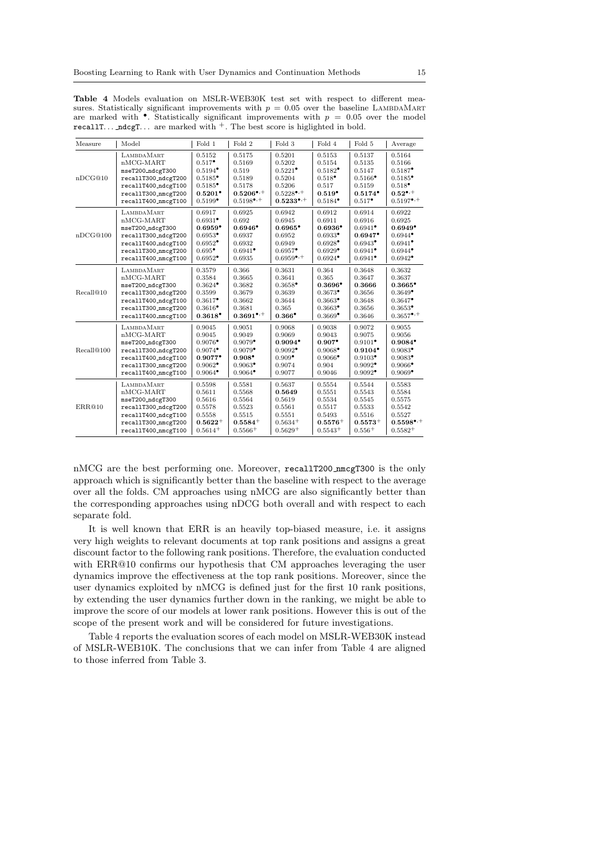Table 4 Models evaluation on MSLR-WEB30K test set with respect to different measures. Statistically significant improvements with  $p = 0.05$  over the baseline LAMBDAMART are marked with •. Statistically significant improvements with  $p = 0.05$  over the model  $\texttt{recallT} \dots \texttt{ndcgT} \dots$  are marked with  $+$ . The best score is higlighted in bold.

| Measure    | Model               | Fold 1                | Fold 2                        | Fold 3                | Fold 4                | Fold 5                | Average                       |
|------------|---------------------|-----------------------|-------------------------------|-----------------------|-----------------------|-----------------------|-------------------------------|
| nDCG@10    | LAMBDAMART          | 0.5152                | 0.5175                        | 0.5201                | 0.5153                | 0.5137                | 0.5164                        |
|            | $nMCG-MART$         | $0.517^{\bullet}$     | 0.5169                        | 0.5202                | 0.5154                | 0.5135                | 0.5166                        |
|            | mseT200_ndcgT300    | $0.5194$ <sup>*</sup> | 0.519                         | $0.5221$ <sup>*</sup> | $0.5182^{\bullet}$    | 0.5147                | $0.5187^{\bullet}$            |
|            | recallT300_ndcgT200 | $0.5185$ <sup>*</sup> | 0.5189                        | 0.5204                | $0.518^{\circ}$       | $0.5166$ <sup>*</sup> | $0.5185$ <sup>*</sup>         |
|            | recallT400_ndcgT100 | $0.5185$ <sup>*</sup> | 0.5178                        | 0.5206                | 0.517                 | 0.5159                | $0.518^{\bullet}$             |
|            | recallT300_nmcgT200 | 0.5201                | $0.5206^{\bullet,+}$          | $0.5228^{\bullet,+}$  | $0.519^{\circ}$       | $0.5174^{\circ}$      | $0.52^{\bullet,+}$            |
|            | recallT400_nmcgT100 | $0.5199$ <sup>*</sup> | $0.5198^{\bullet,+}$          | $0.5233^{\bullet,+}$  | $0.5184^{\circ}$      | $0.517$ <sup>*</sup>  | $0.5197^{\bullet,+}$          |
| nDCG@100   | LAMBDAMART          | 0.6917                | 0.6925                        | 0.6942                | 0.6912                | 0.6914                | 0.6922                        |
|            | $nMCG-MART$         | 0.6931                | 0.692                         | 0.6945                | 0.6911                | 0.6916                | 0.6925                        |
|            | mseT200_ndcgT300    | $0.6959$ <sup>*</sup> | 0.6946                        | 0.6965                | $0.6936$ <sup>*</sup> | $0.6941$ <sup>*</sup> | $0.6949^{\bullet}$            |
|            | recallT300_ndcgT200 | 0.6953                | 0.6937                        | 0.6952                | $0.6933$ <sup>*</sup> | 0.6947                | $0.6944^{\bullet}$            |
|            | recallT400_ndcgT100 | 0.6952                | 0.6932                        | 0.6949                | $0.6928^{\bullet}$    | $0.6943^{\bullet}$    | $0.6941$ <sup>*</sup>         |
|            | recallT300_nmcgT200 | $0.695^{\bullet}$     | $0.6941$ <sup>*</sup>         | $0.6957$ <sup>*</sup> | $0.6929$ <sup>*</sup> | $0.6941$ <sup>*</sup> | $0.6944^{\bullet}$            |
|            | recallT400_nmcgT100 | 0.6952                | 0.6935                        | $0.6959^{\bullet,+}$  | $0.6924^{\bullet}$    | $0.6941$ <sup>*</sup> | $0.6942^{\bullet}$            |
| Recall@10  | LAMBDAMART          | 0.3579                | 0.366                         | 0.3631                | 0.364                 | 0.3648                | 0.3632                        |
|            | $nMCG-MART$         | 0.3584                | 0.3665                        | 0.3641                | 0.365                 | 0.3647                | 0.3637                        |
|            | mseT200_ndcgT300    | $0.3624$ <sup>*</sup> | 0.3682                        | $0.3658$ <sup>*</sup> | $0.3696^{\bullet}$    | 0.3666                | $0.3665^{\bullet}$            |
|            | recallT300_ndcgT200 | 0.3599                | 0.3679                        | 0.3639                | $0.3673$ <sup>*</sup> | 0.3656                | $0.3649^{\bullet}$            |
|            | recallT400_ndcgT100 | $0.3617$ <sup>*</sup> | 0.3662                        | 0.3644                | $0.3663^{\bullet}$    | 0.3648                | $0.3647$ <sup>*</sup>         |
|            | recallT300_nmcgT200 | $0.3616$ <sup>*</sup> | 0.3681                        | 0.365                 | $0.3663^{\bullet}$    | 0.3656                | $0.3653$ <sup>*</sup>         |
|            | recallT400_nmcgT100 | $0.3618^{\bullet}$    | $\textbf{0.3691}^{\bullet,+}$ | $0.366^{\bullet}$     | $0.3669$ <sup>*</sup> | 0.3646                | $0.3657^{\bullet,+}$          |
| Recall@100 | LAMBDAMART          | 0.9045                | 0.9051                        | 0.9068                | 0.9038                | 0.9072                | 0.9055                        |
|            | $nMCG-MART$         | 0.9045                | 0.9049                        | 0.9069                | 0.9043                | 0.9075                | 0.9056                        |
|            | mseT200_ndcgT300    | $0.9076$ <sup>*</sup> | $0.9079$ <sup>*</sup>         | $0.9094$ <sup>*</sup> | $0.907$ <sup>*</sup>  | $0.9101$ <sup>*</sup> | $0.9084^{\bullet}$            |
|            | recallT300_ndcgT200 | $0.9074$ <sup>*</sup> | $0.9079$ <sup>*</sup>         | $0.9092$ <sup>*</sup> | $0.9068^{\bullet}$    | $0.9104^{\bullet}$    | $0.9083$ <sup>*</sup>         |
|            | recallT400_ndcgT100 | 0.9077                | $0.908^{\bullet}$             | $0.909^{\bullet}$     | $0.9066$ <sup>*</sup> | $0.9103$ <sup>*</sup> | $0.9083^{\bullet}$            |
|            | recallT300_nmcgT200 | $0.9062$ <sup>*</sup> | $0.9063$ <sup>*</sup>         | 0.9074                | 0.904                 | $0.9092$ <sup>*</sup> | $0.9066$ <sup>*</sup>         |
|            | recallT400_nmcgT100 | $0.9064$ <sup>*</sup> | $0.9064$ <sup>*</sup>         | 0.9077                | 0.9046                | $0.9092^{\bullet}$    | $0.9069$ <sup>*</sup>         |
| ERR@10     | LAMBDAMART          | 0.5598                | 0.5581                        | 0.5637                | 0.5554                | 0.5544                | 0.5583                        |
|            | $nMCG-MART$         | 0.5611                | 0.5568                        | 0.5649                | 0.5551                | 0.5543                | 0.5584                        |
|            | mseT200_ndcgT300    | 0.5616                | 0.5564                        | 0.5619                | 0.5534                | 0.5545                | 0.5575                        |
|            | recallT300_ndcgT200 | 0.5578                | 0.5523                        | 0.5561                | 0.5517                | 0.5533                | 0.5542                        |
|            | recallT400_ndcgT100 | 0.5558                | 0.5515                        | 0.5551                | 0.5493                | 0.5516                | 0.5527                        |
|            | recallT300_nmcgT200 | $0.5622^{+}$          | $0.5584+$                     | $0.5634+$             | $0.5576+$             | $0.5573^{+}$          | $\mathbf{0.5598}^{\bullet,+}$ |
|            | recallT400_nmcgT100 | $0.5614+$             | $0.5566+$                     | $0.5629+$             | $0.5543+$             | $0.556+$              | $0.5582+$                     |

nMCG are the best performing one. Moreover, recallT200 nmcgT300 is the only approach which is significantly better than the baseline with respect to the average over all the folds. CM approaches using nMCG are also significantly better than the corresponding approaches using nDCG both overall and with respect to each separate fold.

It is well known that ERR is an heavily top-biased measure, i.e. it assigns very high weights to relevant documents at top rank positions and assigns a great discount factor to the following rank positions. Therefore, the evaluation conducted with ERR@10 confirms our hypothesis that CM approaches leveraging the user dynamics improve the effectiveness at the top rank positions. Moreover, since the user dynamics exploited by nMCG is defined just for the first 10 rank positions, by extending the user dynamics further down in the ranking, we might be able to improve the score of our models at lower rank positions. However this is out of the scope of the present work and will be considered for future investigations.

Table 4 reports the evaluation scores of each model on MSLR-WEB30K instead of MSLR-WEB10K. The conclusions that we can infer from Table 4 are aligned to those inferred from Table 3.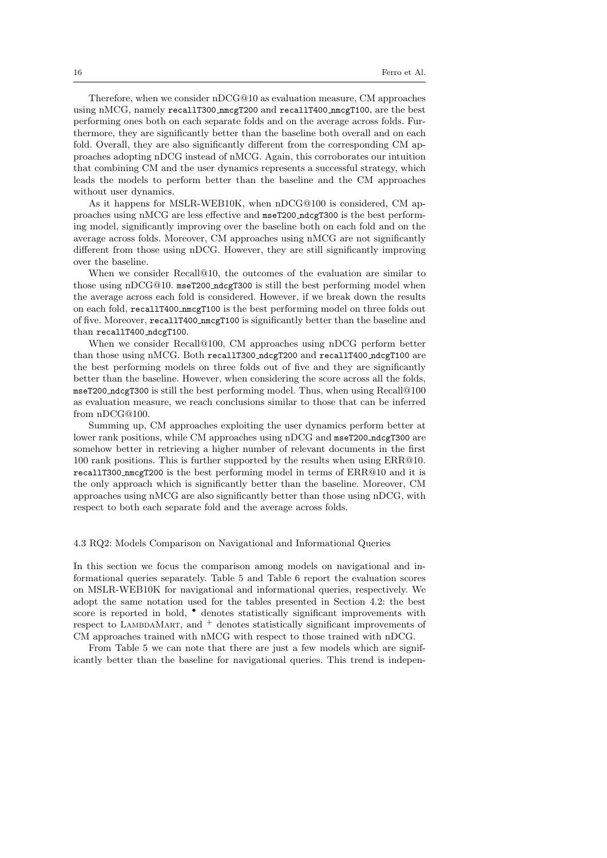Therefore, when we consider nDCG@10 as evaluation measure, CM approaches using nMCG, namely recallT300 nmcgT200 and recallT400 nmcgT100, are the best performing ones both on each separate folds and on the average across folds. Furthermore, they are significantly better than the baseline both overall and on each fold. Overall, they are also significantly different from the corresponding CM approaches adopting nDCG instead of nMCG. Again, this corroborates our intuition that combining CM and the user dynamics represents a successful strategy, which leads the models to perform better than the baseline and the CM approaches without user dynamics.

As it happens for MSLR-WEB10K, when nDCG@100 is considered, CM approaches using nMCG are less effective and mseT200 ndcgT300 is the best performing model, significantly improving over the baseline both on each fold and on the average across folds. Moreover, CM approaches using nMCG are not significantly different from those using nDCG. However, they are still significantly improving over the baseline.

When we consider Recall@10, the outcomes of the evaluation are similar to those using nDCG@10. mseT200 ndcgT300 is still the best performing model when the average across each fold is considered. However, if we break down the results on each fold, recallT400 nmcgT100 is the best performing model on three folds out of five. Moreover, recallT400 nmcgT100 is significantly better than the baseline and than recallT400 ndcgT100.

When we consider Recall@100, CM approaches using nDCG perform better than those using nMCG. Both recallT300 ndcgT200 and recallT400 ndcgT100 are the best performing models on three folds out of five and they are significantly better than the baseline. However, when considering the score across all the folds, mseT200 ndcgT300 is still the best performing model. Thus, when using Recall@100 as evaluation measure, we reach conclusions similar to those that can be inferred from nDCG@100.

Summing up, CM approaches exploiting the user dynamics perform better at lower rank positions, while CM approaches using nDCG and mseT200 ndcgT300 are somehow better in retrieving a higher number of relevant documents in the first 100 rank positions. This is further supported by the results when using ERR@10. recallT300 nmcgT200 is the best performing model in terms of ERR@10 and it is the only approach which is significantly better than the baseline. Moreover, CM approaches using nMCG are also significantly better than those using nDCG, with respect to both each separate fold and the average across folds.

4.3 RQ2: Models Comparison on Navigational and Informational Queries

In this section we focus the comparison among models on navigational and informational queries separately. Table 5 and Table 6 report the evaluation scores on MSLR-WEB10K for navigational and informational queries, respectively. We adopt the same notation used for the tables presented in Section 4.2: the best score is reported in bold,  $\bullet$  denotes statistically significant improvements with respect to LAMBDAMART, and  $+$  denotes statistically significant improvements of CM approaches trained with nMCG with respect to those trained with nDCG.

From Table 5 we can note that there are just a few models which are significantly better than the baseline for navigational queries. This trend is indepen-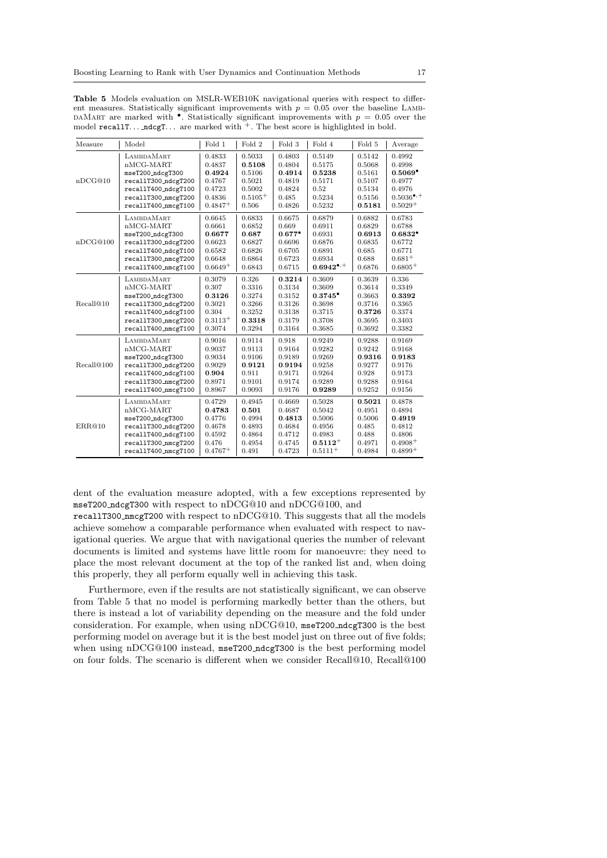Table 5 Models evaluation on MSLR-WEB10K navigational queries with respect to different measures. Statistically significant improvements with  $p = 0.05$  over the baseline LAMB-DAMART are marked with •. Statistically significant improvements with  $p = 0.05$  over the model  $recallT...ndcgT...$  are marked with  $+$ . The best score is highlighted in bold.

| Measure    | Model               | Fold 1     | Fold 2    | Fold 3            | Fold 4               | Fold 5 | Average              |
|------------|---------------------|------------|-----------|-------------------|----------------------|--------|----------------------|
| nDCG@10    | LAMBDAMART          | 0.4833     | 0.5033    | 0.4803            | 0.5149               | 0.5142 | 0.4992               |
|            | $nMCG-MART$         | 0.4837     | 0.5108    | 0.4804            | 0.5175               | 0.5068 | 0.4998               |
|            | mseT200_ndcgT300    | 0.4924     | 0.5106    | 0.4914            | 0.5238               | 0.5161 | $0.5069^{\bullet}$   |
|            | recallT300_ndcgT200 | 0.4767     | 0.5021    | 0.4819            | 0.5171               | 0.5107 | 0.4977               |
|            | recallT400_ndcgT100 | 0.4723     | 0.5002    | 0.4824            | 0.52                 | 0.5134 | 0.4976               |
|            | recallT300_nmcgT200 | 0.4836     | $0.5105+$ | 0.485             | 0.5234               | 0.5156 | $0.5036^{\bullet,+}$ |
|            | recallT400_nmcgT100 | $0.4847+$  | 0.506     | 0.4826            | 0.5232               | 0.5181 | $0.5029+$            |
| nDCG@100   | LAMBDAMART          | 0.6645     | 0.6833    | 0.6675            | 0.6879               | 0.6882 | 0.6783               |
|            | nMCG-MART           | 0.6661     | 0.6852    | 0.669             | 0.6911               | 0.6829 | 0.6788               |
|            | mseT200_ndcgT300    | 0.6677     | 0.687     | $0.677^{\bullet}$ | 0.6931               | 0.6913 | $0.6832^{\bullet}$   |
|            | recallT300_ndcgT200 | 0.6623     | 0.6827    | 0.6696            | 0.6876               | 0.6835 | 0.6772               |
|            | recallT400_ndcgT100 | 0.6582     | 0.6826    | 0.6705            | 0.6891               | 0.685  | 0.6771               |
|            | recallT300_nmcgT200 | 0.6648     | 0.6864    | 0.6723            | 0.6934               | 0.688  | $0.681+$             |
|            | recallT400_nmcgT100 | $0.6649+$  | 0.6843    | 0.6715            | $0.6942^{\bullet,+}$ | 0.6876 | $0.6805+$            |
| Recall@10  | LAMBDAMART          | 0.3079     | 0.326     | 0.3214            | 0.3609               | 0.3639 | 0.336                |
|            | nMCG-MART           | 0.307      | 0.3316    | 0.3134            | 0.3609               | 0.3614 | 0.3349               |
|            | mseT200_ndcgT300    | 0.3126     | 0.3274    | 0.3152            | 0.3745               | 0.3663 | 0.3392               |
|            | recallT300_ndcgT200 | 0.3021     | 0.3266    | 0.3126            | 0.3698               | 0.3716 | 0.3365               |
|            | recallT400_ndcgT100 | 0.304      | 0.3252    | 0.3138            | 0.3715               | 0.3726 | 0.3374               |
|            | recallT300_nmcgT200 | $0.3113 +$ | 0.3318    | 0.3179            | 0.3708               | 0.3695 | 0.3403               |
|            | recallT400_nmcgT100 | 0.3074     | 0.3294    | 0.3164            | 0.3685               | 0.3692 | 0.3382               |
| Recall@100 | LAMBDAMART          | 0.9016     | 0.9114    | 0.918             | 0.9249               | 0.9288 | 0.9169               |
|            | nMCG-MART           | 0.9037     | 0.9113    | 0.9164            | 0.9282               | 0.9242 | 0.9168               |
|            | mseT200_ndcgT300    | 0.9034     | 0.9106    | 0.9189            | 0.9269               | 0.9316 | 0.9183               |
|            | recallT300_ndcgT200 | 0.9029     | 0.9121    | 0.9194            | 0.9258               | 0.9277 | 0.9176               |
|            | recallT400_ndcgT100 | 0.904      | 0.911     | 0.9171            | 0.9264               | 0.928  | 0.9173               |
|            | recallT300_nmcgT200 | 0.8971     | 0.9101    | 0.9174            | 0.9289               | 0.9288 | 0.9164               |
|            | recallT400_nmcgT100 | 0.8967     | 0.9093    | 0.9176            | 0.9289               | 0.9252 | 0.9156               |
| ERR@10     | LAMBDAMART          | 0.4729     | 0.4945    | 0.4669            | 0.5028               | 0.5021 | 0.4878               |
|            | nMCG-MART           | 0.4783     | 0.501     | 0.4687            | 0.5042               | 0.4951 | 0.4894               |
|            | mseT200_ndcgT300    | 0.4776     | 0.4994    | 0.4813            | 0.5006               | 0.5006 | 0.4919               |
|            | recallT300_ndcgT200 | 0.4678     | 0.4893    | 0.4684            | 0.4956               | 0.485  | 0.4812               |
|            | recallT400_ndcgT100 | 0.4592     | 0.4864    | 0.4712            | 0.4983               | 0.488  | 0.4806               |
|            | recallT300_nmcgT200 | 0.476      | 0.4954    | 0.4745            | $0.5112 +$           | 0.4971 | $0.4908+$            |
|            | recallT400_nmcgT100 | $0.4767 +$ | 0.491     | 0.4723            | $0.5111 +$           | 0.4984 | $0.4899 +$           |

dent of the evaluation measure adopted, with a few exceptions represented by mseT200 ndcgT300 with respect to nDCG@10 and nDCG@100, and

recallT300 nmcgT200 with respect to nDCG@10. This suggests that all the models achieve somehow a comparable performance when evaluated with respect to navigational queries. We argue that with navigational queries the number of relevant documents is limited and systems have little room for manoeuvre: they need to place the most relevant document at the top of the ranked list and, when doing this properly, they all perform equally well in achieving this task.

Furthermore, even if the results are not statistically significant, we can observe from Table 5 that no model is performing markedly better than the others, but there is instead a lot of variability depending on the measure and the fold under consideration. For example, when using nDCG@10, mseT200 ndcgT300 is the best performing model on average but it is the best model just on three out of five folds; when using nDCG@100 instead, mseT200\_ndcgT300 is the best performing model on four folds. The scenario is different when we consider Recall@10, Recall@100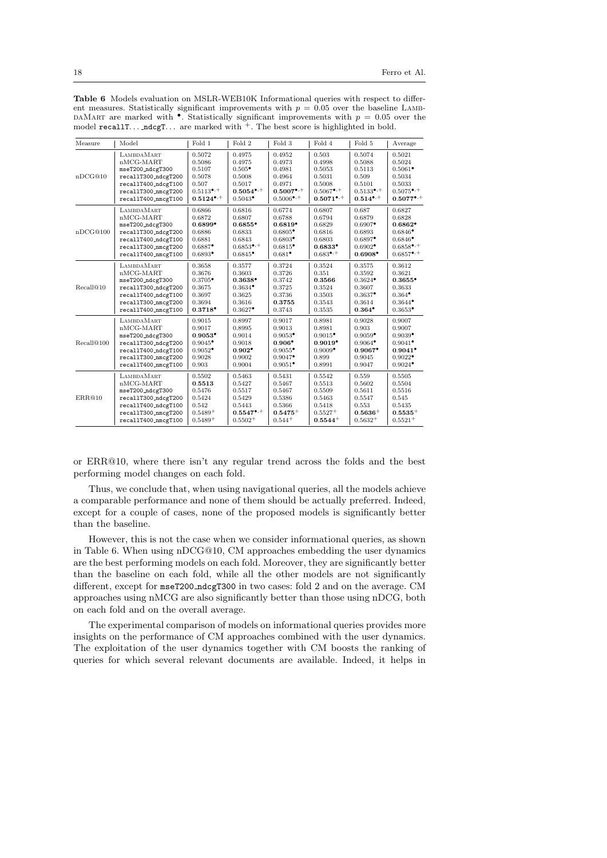| Measure    | Model               | Fold 1                | Fold 2                | Fold 3                | Fold 4                | Fold 5                | Average                              |
|------------|---------------------|-----------------------|-----------------------|-----------------------|-----------------------|-----------------------|--------------------------------------|
| nDCG@10    | LAMBDAMART          | 0.5072                | 0.4975                | 0.4952                | 0.503                 | 0.5074                | 0.5021                               |
|            | nMCG-MART           | 0.5086                | 0.4975                | 0.4973                | 0.4998                | 0.5088                | 0.5024                               |
|            | mseT200_ndcgT300    | 0.5107                | $0.505^{\circ}$       | 0.4981                | 0.5053                | 0.5113                | $0.5061$ <sup>*</sup>                |
|            | recallT300_ndcgT200 | 0.5078                | 0.5008                | 0.4964                | 0.5031                | 0.509                 | 0.5034                               |
|            | recallT400_ndcgT100 | 0.507                 | 0.5017                | 0.4971                | 0.5008                | 0.5101                | 0.5033                               |
|            | recallT300_nmcgT200 | $0.5113^{\bullet,+}$  | $0.5054^{\bullet,+}$  | $0.5007^{\bullet,+}$  | $0.5067^{\bullet,+}$  | $0.5133^{\bullet,+}$  | $0.5075^{\bullet,+}$                 |
|            | recallT400_nmcgT100 | $0.5124^{\bullet,+}$  | $0.5043^{\circ}$      | $0.5006^{\bullet,+}$  | $0.5071^{\bullet,+}$  | $0.514^{\bullet,+}$   | $0.5077^{\bullet,+}$                 |
| nDCG@100   | LAMBDAMART          | 0.6866                | 0.6816                | 0.6774                | 0.6807                | 0.687                 | 0.6827                               |
|            | nMCG-MART           | 0.6872                | 0.6807                | 0.6788                | 0.6794                | 0.6879                | 0.6828                               |
|            | mseT200_ndcgT300    | $0.6899$ <sup>*</sup> | $0.6855$ *            | $0.6819$ <sup>*</sup> | 0.6829                | 0.6907                | $0.6862$ *                           |
|            | recallT300_ndcgT200 | 0.6886                | 0.6833                | $0.6805^{\bullet}$    | 0.6816                | 0.6893                | $0.6846$ <sup>*</sup>                |
|            | recallT400_ndcgT100 | 0.6881                | 0.6843                | $0.6803^{\bullet}$    | 0.6803                | $0.6897$ <sup>*</sup> | $0.6846$ <sup>*</sup>                |
|            | recallT300_nmcgT200 | 0.6887                | $0.6853^{\bullet,+}$  | $0.6815$ <sup>*</sup> | $0.6833$ *            | 0.6902                | $0.6858$ <sup>*</sup> · <sup>+</sup> |
|            | recallT400_nmcgT100 | $0.6893^{\bullet}$    | $0.6845^{\bullet}$    | $0.681$ <sup>*</sup>  | $0.683^{\bullet,+}$   | $0.6908^{\bullet}$    | $0.6857^{\bullet,+}$                 |
| Recall@10  | LAMBDAMART          | 0.3658                | 0.3577                | 0.3724                | 0.3524                | 0.3575                | 0.3612                               |
|            | nMCG-MART           | 0.3676                | 0.3603                | 0.3726                | 0.351                 | 0.3592                | 0.3621                               |
|            | mseT200_ndcgT300    | $0.3705^{\circ}$      | $0.3638^{\bullet}$    | 0.3742                | 0.3566                | $0.3624$ <sup>*</sup> | $0.3655$ *                           |
|            | recallT300_ndcgT200 | 0.3675                | $0.3634$ <sup>*</sup> | 0.3725                | 0.3524                | 0.3607                | 0.3633                               |
|            | recallT400_ndcgT100 | 0.3697                | 0.3625                | 0.3736                | 0.3503                | $0.3637$ <sup>*</sup> | $0.364^{\bullet}$                    |
|            | recallT300_nmcgT200 | 0.3694                | 0.3616                | 0.3755                | 0.3543                | 0.3614                | $0.3644^{\bullet}$                   |
|            | recallT400_nmcgT100 | $0.3718^{\bullet}$    | $0.3627$ <sup>*</sup> | 0.3743                | 0.3535                | $0.364^{\bullet}$     | $0.3653^{\bullet}$                   |
| Recall@100 | LAMBDAMART          | 0.9015                | 0.8997                | 0.9017                | 0.8981                | 0.9028                | 0.9007                               |
|            | nMCG-MART           | 0.9017                | 0.8995                | 0.9013                | 0.8981                | 0.903                 | 0.9007                               |
|            | mseT200_ndcgT300    | $0.9053$ *            | 0.9014                | $0.9053$ <sup>*</sup> | $0.9015$ <sup>*</sup> | $0.9059$ <sup>*</sup> | $0.9039$ <sup>*</sup>                |
|            | recallT300_ndcgT200 | $0.9045^{\circ}$      | 0.9018                | $0.906^{\bullet}$     | $0.9019^{\bullet}$    | $0.9064$ <sup>*</sup> | $0.9041$ <sup>*</sup>                |
|            | recallT400_ndcgT100 | $0.9052$ <sup>*</sup> | $0.902^{\bullet}$     | $0.9055$ <sup>*</sup> | $0.9009$ <sup>*</sup> | 0.9067                | 0.9041                               |
|            | recallT300_nmcgT200 | 0.9028                | 0.9002                | $0.9047$ <sup>*</sup> | 0.899                 | 0.9045                | $0.9022$ <sup>*</sup>                |
|            | recallT400_nmcgT100 | 0.903                 | 0.9004                | $0.9051$ <sup>*</sup> | 0.8991                | 0.9047                | $0.9024^{\bullet}$                   |
| ERR@10     | LAMBDAMART          | 0.5502                | 0.5463                | 0.5431                | 0.5542                | 0.559                 | 0.5505                               |
|            | nMCG-MART           | 0.5513                | 0.5427                | 0.5467                | 0.5513                | 0.5602                | 0.5504                               |
|            | mseT200_ndcgT300    | 0.5476                | 0.5517                | 0.5467                | 0.5509                | 0.5611                | 0.5516                               |
|            | recallT300_ndcgT200 | 0.5424                | 0.5429                | 0.5386                | 0.5463                | 0.5547                | 0.545                                |
|            | recallT400_ndcgT100 | 0.542                 | 0.5443                | 0.5366                | 0.5418                | 0.553                 | 0.5435                               |
|            | recallT300_nmcgT200 | $0.5489+$             | $0.5547^{\bullet,+}$  | $0.5475+$             | $0.5527+$             | $0.5636 +$            | $0.5535^{+}$                         |
|            | recallT400_nmcgT100 | $0.5489+$             | $0.5502^{+}$          | $0.544+$              | $0.5544^{+}$          | $0.5632+$             | $0.5521+$                            |

Table 6 Models evaluation on MSLR-WEB10K Informational queries with respect to different measures. Statistically significant improvements with  $p = 0.05$  over the baseline LAMB-DAMART are marked with •. Statistically significant improvements with  $p = 0.05$  over the model  $recallT...ndcgT...$  are marked with  $+$ . The best score is highlighted in bold.

or ERR@10, where there isn't any regular trend across the folds and the best performing model changes on each fold.

Thus, we conclude that, when using navigational queries, all the models achieve a comparable performance and none of them should be actually preferred. Indeed, except for a couple of cases, none of the proposed models is significantly better than the baseline.

However, this is not the case when we consider informational queries, as shown in Table 6. When using nDCG@10, CM approaches embedding the user dynamics are the best performing models on each fold. Moreover, they are significantly better than the baseline on each fold, while all the other models are not significantly different, except for mseT200 ndcgT300 in two cases: fold 2 and on the average. CM approaches using nMCG are also significantly better than those using nDCG, both on each fold and on the overall average.

The experimental comparison of models on informational queries provides more insights on the performance of CM approaches combined with the user dynamics. The exploitation of the user dynamics together with CM boosts the ranking of queries for which several relevant documents are available. Indeed, it helps in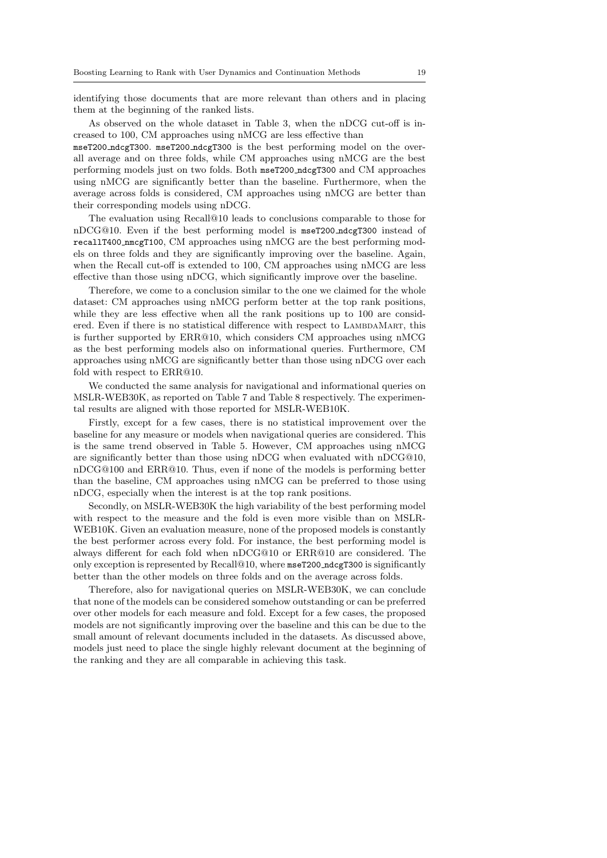identifying those documents that are more relevant than others and in placing them at the beginning of the ranked lists.

As observed on the whole dataset in Table 3, when the nDCG cut-off is increased to 100, CM approaches using nMCG are less effective than

mseT200 ndcgT300. mseT200 ndcgT300 is the best performing model on the overall average and on three folds, while CM approaches using nMCG are the best performing models just on two folds. Both mseT200 ndcgT300 and CM approaches using nMCG are significantly better than the baseline. Furthermore, when the average across folds is considered, CM approaches using nMCG are better than their corresponding models using nDCG.

The evaluation using Recall@10 leads to conclusions comparable to those for nDCG@10. Even if the best performing model is mseT200 ndcgT300 instead of recallT400 nmcgT100, CM approaches using nMCG are the best performing models on three folds and they are significantly improving over the baseline. Again, when the Recall cut-off is extended to 100, CM approaches using nMCG are less effective than those using nDCG, which significantly improve over the baseline.

Therefore, we come to a conclusion similar to the one we claimed for the whole dataset: CM approaches using nMCG perform better at the top rank positions, while they are less effective when all the rank positions up to 100 are considered. Even if there is no statistical difference with respect to LAMBDAMART, this is further supported by ERR@10, which considers CM approaches using nMCG as the best performing models also on informational queries. Furthermore, CM approaches using nMCG are significantly better than those using nDCG over each fold with respect to ERR@10.

We conducted the same analysis for navigational and informational queries on MSLR-WEB30K, as reported on Table 7 and Table 8 respectively. The experimental results are aligned with those reported for MSLR-WEB10K.

Firstly, except for a few cases, there is no statistical improvement over the baseline for any measure or models when navigational queries are considered. This is the same trend observed in Table 5. However, CM approaches using nMCG are significantly better than those using nDCG when evaluated with nDCG@10, nDCG@100 and ERR@10. Thus, even if none of the models is performing better than the baseline, CM approaches using nMCG can be preferred to those using nDCG, especially when the interest is at the top rank positions.

Secondly, on MSLR-WEB30K the high variability of the best performing model with respect to the measure and the fold is even more visible than on MSLR-WEB10K. Given an evaluation measure, none of the proposed models is constantly the best performer across every fold. For instance, the best performing model is always different for each fold when nDCG@10 or ERR@10 are considered. The only exception is represented by  $Recall@10$ , where  $meseT200$  ndcgT300 is significantly better than the other models on three folds and on the average across folds.

Therefore, also for navigational queries on MSLR-WEB30K, we can conclude that none of the models can be considered somehow outstanding or can be preferred over other models for each measure and fold. Except for a few cases, the proposed models are not significantly improving over the baseline and this can be due to the small amount of relevant documents included in the datasets. As discussed above, models just need to place the single highly relevant document at the beginning of the ranking and they are all comparable in achieving this task.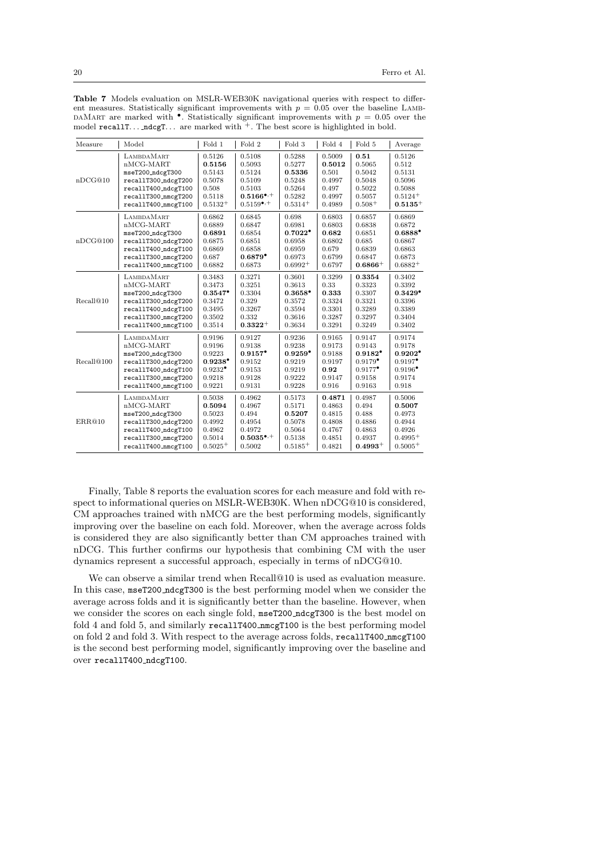| Measure    | Model               | Fold 1             | Fold 2                | Fold 3                | Fold 4 | Fold 5                | Average               |
|------------|---------------------|--------------------|-----------------------|-----------------------|--------|-----------------------|-----------------------|
|            | LAMBDAMART          | 0.5126             | 0.5108                | 0.5288                | 0.5009 | 0.51                  | 0.5126                |
|            | $nMCG-MART$         | 0.5156             | 0.5093                | 0.5277                | 0.5012 | 0.5065                | 0.512                 |
|            | mseT200_ndcgT300    | 0.5143             | 0.5124                | 0.5336                | 0.501  | 0.5042                | 0.5131                |
| nDCG@10    | recallT300_ndcgT200 | 0.5078             | 0.5109                | 0.5248                | 0.4997 | 0.5048                | 0.5096                |
|            | recallT400_ndcgT100 | 0.508              | 0.5103                | 0.5264                | 0.497  | 0.5022                | 0.5088                |
|            | recallT300_nmcgT200 | 0.5118             | $0.5166^{\bullet,+}$  | 0.5282                | 0.4997 | 0.5057                | $0.5124+$             |
|            | recallT400_nmcgT100 | $0.5132^{+}$       | $0.5159^{\bullet,+}$  | $0.5314+$             | 0.4989 | $0.508+$              | $0.5135+$             |
|            | LAMBDAMART          | 0.6862             | 0.6845                | 0.698                 | 0.6803 | 0.6857                | 0.6869                |
|            | $nMCG-MART$         | 0.6889             | 0.6847                | 0.6981                | 0.6803 | 0.6838                | 0.6872                |
|            | mseT200_ndcgT300    | 0.6891             | 0.6854                | 0.7022                | 0.682  | 0.6851                | $0.6888^{\bullet}$    |
| nDCG@100   | recallT300_ndcgT200 | 0.6875             | 0.6851                | 0.6958                | 0.6802 | 0.685                 | 0.6867                |
|            | recallT400_ndcgT100 | 0.6869             | 0.6858                | 0.6959                | 0.679  | 0.6839                | 0.6863                |
|            | recallT300_nmcgT200 | 0.687              | $0.6879^{\bullet}$    | 0.6973                | 0.6799 | 0.6847                | 0.6873                |
|            | recallT400_nmcgT100 | 0.6882             | 0.6873                | $0.6992^{+}$          | 0.6797 | $0.6866+$             | $0.6882+$             |
|            | LAMBDAMART          | 0.3483             | 0.3271                | 0.3601                | 0.3299 | 0.3354                | 0.3402                |
|            | nMCG-MART           | 0.3473             | 0.3251                | 0.3613                | 0.33   | 0.3323                | 0.3392                |
|            | mseT200_ndcgT300    | $0.3547^{\circ}$   | 0.3304                | $0.3658^{\bullet}$    | 0.333  | 0.3307                | $0.3429^{\bullet}$    |
| Recall@10  | recallT300_ndcgT200 | 0.3472             | 0.329                 | 0.3572                | 0.3324 | 0.3321                | 0.3396                |
|            | recallT400_ndcgT100 | 0.3495             | 0.3267                | 0.3594                | 0.3301 | 0.3289                | 0.3389                |
|            | recallT300_nmcgT200 | 0.3502             | 0.332                 | 0.3616                | 0.3287 | 0.3297                | 0.3404                |
|            | recallT400_nmcgT100 | 0.3514             | $0.3322^{+}$          | 0.3634                | 0.3291 | 0.3249                | 0.3402                |
|            | LAMBDAMART          | 0.9196             | 0.9127                | 0.9236                | 0.9165 | 0.9147                | 0.9174                |
|            | $nMCG-MART$         | 0.9196             | 0.9138                | 0.9238                | 0.9173 | 0.9143                | 0.9178                |
|            | mseT200_ndcgT300    | 0.9223             | $0.9157$ <sup>*</sup> | $0.9259$ <sup>*</sup> | 0.9188 | $0.9182$ <sup>*</sup> | $0.9202^{\bullet}$    |
| Recall@100 | recallT300_ndcgT200 | $0.9238^{\bullet}$ | 0.9152                | 0.9219                | 0.9197 | $0.9179$ <sup>*</sup> | $0.9197$ <sup>*</sup> |
|            | recallT400_ndcgT100 | $0.9232^{\bullet}$ | 0.9153                | 0.9219                | 0.92   | $0.9177$ <sup>*</sup> | $0.9196$ <sup>*</sup> |
|            | recallT300_nmcgT200 | 0.9218             | 0.9128                | 0.9222                | 0.9147 | 0.9158                | 0.9174                |
|            | recallT400_nmcgT100 | 0.9221             | 0.9131                | 0.9228                | 0.916  | 0.9163                | 0.918                 |
|            | LAMBDAMART          | 0.5038             | 0.4962                | 0.5173                | 0.4871 | 0.4987                | 0.5006                |
|            | nMCG-MART           | 0.5094             | 0.4967                | 0.5171                | 0.4863 | 0.494                 | 0.5007                |
|            | mseT200_ndcgT300    | 0.5023             | 0.494                 | 0.5207                | 0.4815 | 0.488                 | 0.4973                |
| ERR@10     | recallT300_ndcgT200 | 0.4992             | 0.4954                | 0.5078                | 0.4808 | 0.4886                | 0.4944                |
|            | recallT400_ndcgT100 | 0.4962             | 0.4972                | 0.5064                | 0.4767 | 0.4863                | 0.4926                |
|            | recallT300_nmcgT200 | 0.5014             | 0.5035                | 0.5138                | 0.4851 | 0.4937                | $0.4995+$             |
|            | recallT400_nmcgT100 | $0.5025+$          | 0.5002                | $0.5185+$             | 0.4821 | $0.4993+$             | $0.5005+$             |

Table 7 Models evaluation on MSLR-WEB30K navigational queries with respect to different measures. Statistically significant improvements with  $p = 0.05$  over the baseline LAMB-DAMART are marked with •. Statistically significant improvements with  $p = 0.05$  over the model recallT...  $\texttt{ndcgT...}$  are marked with  $^+$ . The best score is highlighted in bold.

Finally, Table 8 reports the evaluation scores for each measure and fold with respect to informational queries on MSLR-WEB30K. When nDCG@10 is considered, CM approaches trained with nMCG are the best performing models, significantly improving over the baseline on each fold. Moreover, when the average across folds is considered they are also significantly better than CM approaches trained with nDCG. This further confirms our hypothesis that combining CM with the user dynamics represent a successful approach, especially in terms of nDCG@10.

We can observe a similar trend when Recall@10 is used as evaluation measure. In this case, mseT200 ndcgT300 is the best performing model when we consider the average across folds and it is significantly better than the baseline. However, when we consider the scores on each single fold, mseT200 ndcgT300 is the best model on fold 4 and fold 5, and similarly recallT400 nmcgT100 is the best performing model on fold 2 and fold 3. With respect to the average across folds, recallT400 nmcgT100 is the second best performing model, significantly improving over the baseline and over recallT400 ndcgT100.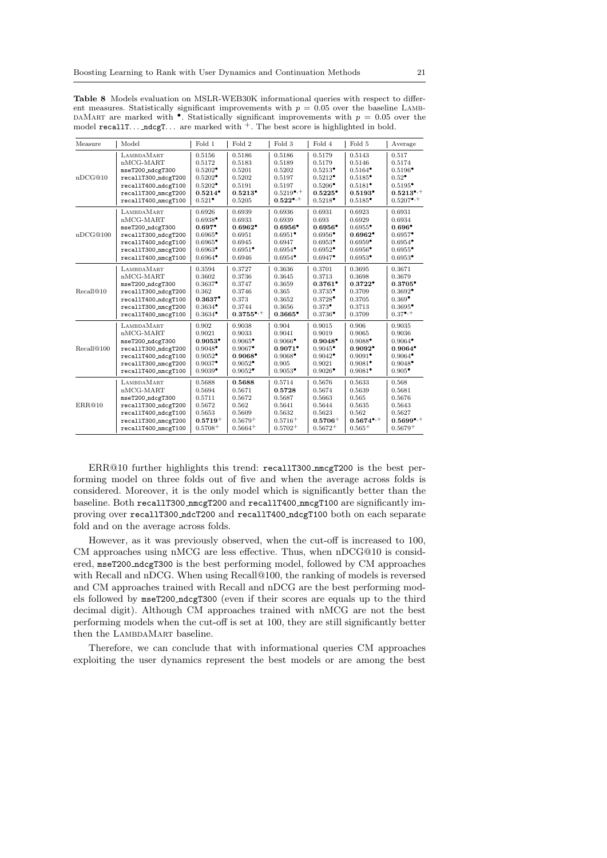| Measure    | Model               | Fold 1                | Fold 2                | Fold 3                | Fold 4                | Fold 5                | Average                         |
|------------|---------------------|-----------------------|-----------------------|-----------------------|-----------------------|-----------------------|---------------------------------|
| nDCG@10    | LAMBDAMART          | 0.5156                | 0.5186                | 0.5186                | 0.5179                | 0.5143                | 0.517                           |
|            | $nMCG-MART$         | 0.5172                | 0.5183                | 0.5189                | 0.5179                | 0.5146                | 0.5174                          |
|            | mseT200_ndcgT300    | $0.5202$ <sup>*</sup> | 0.5201                | 0.5202                | $0.5213^{\bullet}$    | $0.5164$ <sup>*</sup> | $0.5196$ <sup>*</sup>           |
|            | recallT300_ndcgT200 | $0.5202^{\bullet}$    | 0.5202                | 0.5197                | $0.5212^{\bullet}$    | $0.5185$ <sup>*</sup> | $0.52^{\bullet}$                |
|            | recallT400_ndcgT100 | 0.5202                | 0.5191                | 0.5197                | $0.5206^{\bullet}$    | $0.5181$ <sup>*</sup> | $0.5195$ <sup>*</sup>           |
|            | recallT300_nmcgT200 | $0.5214^{\circ}$      | $0.5213^{\bullet}$    | $0.5219^{\bullet,+}$  | 0.5225                | $0.5193^{\bullet}$    | $0.5213^{\bullet,+}$            |
|            | recallT400_nmcgT100 | $0.521^{\bullet}$     | 0.5205                | $0.522^{\bullet,+}$   | $0.5218^{\bullet}$    | $0.5185$ <sup>*</sup> | $0.5207^{\bullet,+}$            |
|            | LAMBDAMART          | 0.6926                | 0.6939                | 0.6936                | 0.6931                | 0.6923                | 0.6931                          |
|            | $nMCG-MART$         | $0.6938$ <sup>*</sup> | 0.6933                | 0.6939                | 0.693                 | 0.6929                | 0.6934                          |
| nDCG@100   | mseT200_ndcgT300    | $0.697$ <sup>*</sup>  | $0.6962$ <sup>*</sup> | $0.6956$ <sup>*</sup> | $0.6956$ <sup>*</sup> | $0.6955$ <sup>*</sup> | $0.696^{\bullet}$               |
|            | recallT300_ndcgT200 | $0.6965$ <sup>*</sup> | 0.6951                | $0.6951$ <sup>*</sup> | $0.6956$ <sup>*</sup> | 0.6962                | 0.6957                          |
|            | recallT400_ndcgT100 | $0.6965$ <sup>*</sup> | 0.6945                | 0.6947                | 0.6953                | $0.6959$ <sup>*</sup> | $0.6954$ <sup>*</sup>           |
|            | recallT300_nmcgT200 | $0.6963$ <sup>*</sup> | $0.6951$ <sup>*</sup> | $0.6954$ <sup>*</sup> | 0.6952                | $0.6956$ <sup>*</sup> | 0.6955                          |
|            | recallT400_nmcgT100 | $0.6964^{\bullet}$    | 0.6946                | 0.6954                | 0.6947                | 0.6953                | 0.6953                          |
| Recall@10  | LAMBDAMART          | 0.3594                | 0.3727                | 0.3636                | 0.3701                | 0.3695                | 0.3671                          |
|            | $nMCG-MART$         | 0.3602                | 0.3736                | 0.3645                | 0.3713                | 0.3698                | 0.3679                          |
|            | mseT200_ndcgT300    | $0.3637$ <sup>*</sup> | 0.3747                | 0.3659                | $0.3761$ *            | $0.3722$ *            | 0.3705                          |
|            | recallT300_ndcgT200 | 0.362                 | 0.3746                | 0.365                 | $0.3735$ <sup>*</sup> | 0.3709                | $0.3692$ <sup>*</sup>           |
|            | recallT400_ndcgT100 | 0.3637                | 0.373                 | 0.3652                | $0.3728$ <sup>*</sup> | 0.3705                | $0.369$ <sup>*</sup>            |
|            | recallT300_nmcgT200 | $0.3634$ <sup>*</sup> | 0.3744                | 0.3656                | $0.373^{\circ}$       | 0.3713                | $0.3695$ <sup>*</sup>           |
|            | recallT400_nmcgT100 | $0.3634$ <sup>*</sup> | $0.3755^{\bullet,+}$  | $0.3665$ <sup>*</sup> | $0.3736$ <sup>*</sup> | 0.3709                | $0.37^{\bullet,+}$              |
| Recall@100 | LAMBDAMART          | 0.902                 | 0.9038                | 0.904                 | 0.9015                | 0.906                 | 0.9035                          |
|            | $nMCG-MART$         | 0.9021                | 0.9033                | 0.9041                | 0.9019                | 0.9065                | 0.9036                          |
|            | mseT200_ndcgT300    | $0.9053$ *            | $0.9065$ <sup>*</sup> | $0.9066$ <sup>*</sup> | $0.9048^{\bullet}$    | $0.9088$ <sup>*</sup> | $0.9064$ <sup>*</sup>           |
|            | recallT300_ndcgT200 | $0.9048^{\bullet}$    | $0.9067$ <sup>*</sup> | $0.9071$ *            | $0.9045$ <sup>*</sup> | $0.9092$ <sup>*</sup> | $0.9064$ <sup>*</sup>           |
|            | recallT400_ndcgT100 | $0.9052$ <sup>*</sup> | $0.9068^{\bullet}$    | $0.9068$ <sup>*</sup> | $0.9042$ <sup>*</sup> | $0.9091$ <sup>*</sup> | $0.9064$ <sup>*</sup>           |
|            | recallT300_nmcgT200 | $0.9037$ <sup>*</sup> | $0.9052$ <sup>*</sup> | 0.905                 | 0.9021                | $0.9081$ <sup>*</sup> | $0.9048^{\bullet}$              |
|            | recallT400_nmcgT100 | $0.9039$ <sup>*</sup> | $0.9052$ <sup>*</sup> | $0.9053$ <sup>*</sup> | $0.9026$ <sup>*</sup> | $0.9081$ <sup>*</sup> | $0.905^{\bullet}$               |
| ERR@10     | LAMBDAMART          | 0.5688                | 0.5688                | 0.5714                | 0.5676                | 0.5633                | 0.568                           |
|            | $nMCG-MART$         | 0.5694                | 0.5671                | 0.5728                | 0.5674                | 0.5639                | 0.5681                          |
|            | mseT200_ndcgT300    | 0.5711                | 0.5672                | 0.5687                | 0.5663                | 0.565                 | 0.5676                          |
|            | recallT300_ndcgT200 | 0.5672                | 0.562                 | 0.5641                | 0.5644                | 0.5635                | 0.5643                          |
|            | recallT400_ndcgT100 | 0.5653                | 0.5609                | 0.5632                | 0.5623                | 0.562                 | 0.5627                          |
|            | recallT300_nmcgT200 | $0.5719+$             | $0.5679+$             | $0.5716+$             | $0.5706+$             | $0.5674^{\bullet,+}$  | $\mathbf{0.5699^{\bullet,\pm}}$ |
|            | recallT400_nmcgT100 | $0.5708+$             | $0.5664+$             | $0.5702+$             | $0.5672+$             | $0.565+$              | $0.5679+$                       |

Table 8 Models evaluation on MSLR-WEB30K informational queries with respect to different measures. Statistically significant improvements with  $p = 0.05$  over the baseline LAMB-DAMART are marked with •. Statistically significant improvements with  $p = 0.05$  over the model  $\texttt{recallT} \dots \texttt{ndcgT} \dots$  are marked with  $+$ . The best score is highlighted in bold.

ERR@10 further highlights this trend: recallT300 nmcgT200 is the best performing model on three folds out of five and when the average across folds is considered. Moreover, it is the only model which is significantly better than the baseline. Both recallT300 nmcgT200 and recallT400 nmcgT100 are significantly improving over recallT300 ndcT200 and recallT400 ndcgT100 both on each separate fold and on the average across folds.

However, as it was previously observed, when the cut-off is increased to 100, CM approaches using nMCG are less effective. Thus, when nDCG@10 is considered, mseT200 ndcgT300 is the best performing model, followed by CM approaches with Recall and nDCG. When using Recall@100, the ranking of models is reversed and CM approaches trained with Recall and nDCG are the best performing models followed by mseT200 ndcgT300 (even if their scores are equals up to the third decimal digit). Although CM approaches trained with nMCG are not the best performing models when the cut-off is set at 100, they are still significantly better then the LAMBDAMART baseline.

Therefore, we can conclude that with informational queries CM approaches exploiting the user dynamics represent the best models or are among the best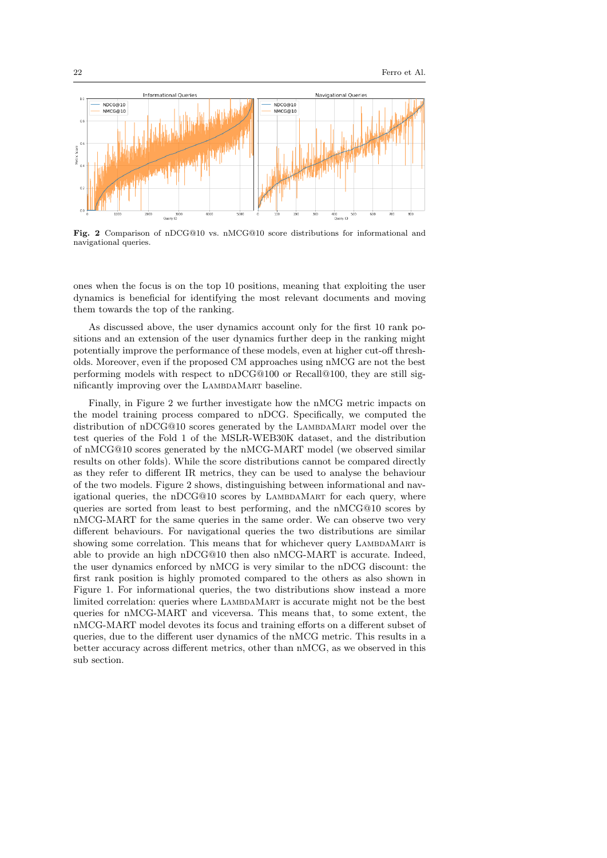

Fig. 2 Comparison of nDCG@10 vs. nMCG@10 score distributions for informational and navigational queries.

ones when the focus is on the top 10 positions, meaning that exploiting the user dynamics is beneficial for identifying the most relevant documents and moving them towards the top of the ranking.

As discussed above, the user dynamics account only for the first 10 rank positions and an extension of the user dynamics further deep in the ranking might potentially improve the performance of these models, even at higher cut-off thresholds. Moreover, even if the proposed CM approaches using nMCG are not the best performing models with respect to nDCG@100 or Recall@100, they are still significantly improving over the LAMBDAMART baseline.

Finally, in Figure 2 we further investigate how the nMCG metric impacts on the model training process compared to nDCG. Specifically, we computed the distribution of nDCG@10 scores generated by the LAMBDAMART model over the test queries of the Fold 1 of the MSLR-WEB30K dataset, and the distribution of nMCG@10 scores generated by the nMCG-MART model (we observed similar results on other folds). While the score distributions cannot be compared directly as they refer to different IR metrics, they can be used to analyse the behaviour of the two models. Figure 2 shows, distinguishing between informational and navigational queries, the  $nDCG@10$  scores by LAMBDAMART for each query, where queries are sorted from least to best performing, and the nMCG@10 scores by nMCG-MART for the same queries in the same order. We can observe two very different behaviours. For navigational queries the two distributions are similar showing some correlation. This means that for whichever query LAMBDAMART is able to provide an high nDCG@10 then also nMCG-MART is accurate. Indeed, the user dynamics enforced by nMCG is very similar to the nDCG discount: the first rank position is highly promoted compared to the others as also shown in Figure 1. For informational queries, the two distributions show instead a more limited correlation: queries where LAMBDAMART is accurate might not be the best queries for nMCG-MART and viceversa. This means that, to some extent, the nMCG-MART model devotes its focus and training efforts on a different subset of queries, due to the different user dynamics of the nMCG metric. This results in a better accuracy across different metrics, other than nMCG, as we observed in this sub section.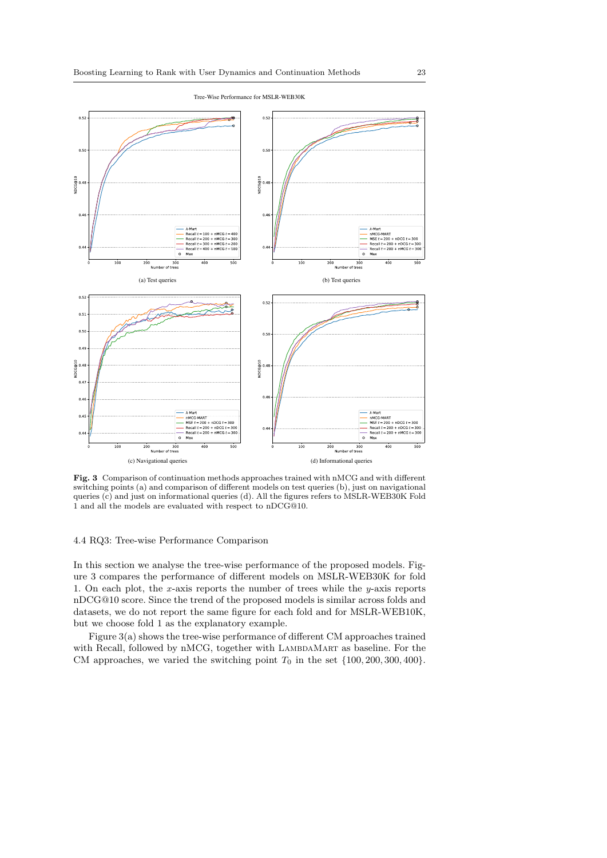

Fig. 3 Comparison of continuation methods approaches trained with nMCG and with different switching points (a) and comparison of different models on test queries (b), just on navigational queries (c) and just on informational queries (d). All the figures refers to MSLR-WEB30K Fold 1 and all the models are evaluated with respect to nDCG@10.

# 4.4 RQ3: Tree-wise Performance Comparison

In this section we analyse the tree-wise performance of the proposed models. Figure 3 compares the performance of different models on MSLR-WEB30K for fold 1. On each plot, the x-axis reports the number of trees while the  $y$ -axis reports nDCG@10 score. Since the trend of the proposed models is similar across folds and datasets, we do not report the same figure for each fold and for MSLR-WEB10K, but we choose fold 1 as the explanatory example.

Figure 3(a) shows the tree-wise performance of different CM approaches trained with Recall, followed by nMCG, together with LAMBDAMART as baseline. For the CM approaches, we varied the switching point  $T_0$  in the set  $\{100, 200, 300, 400\}$ .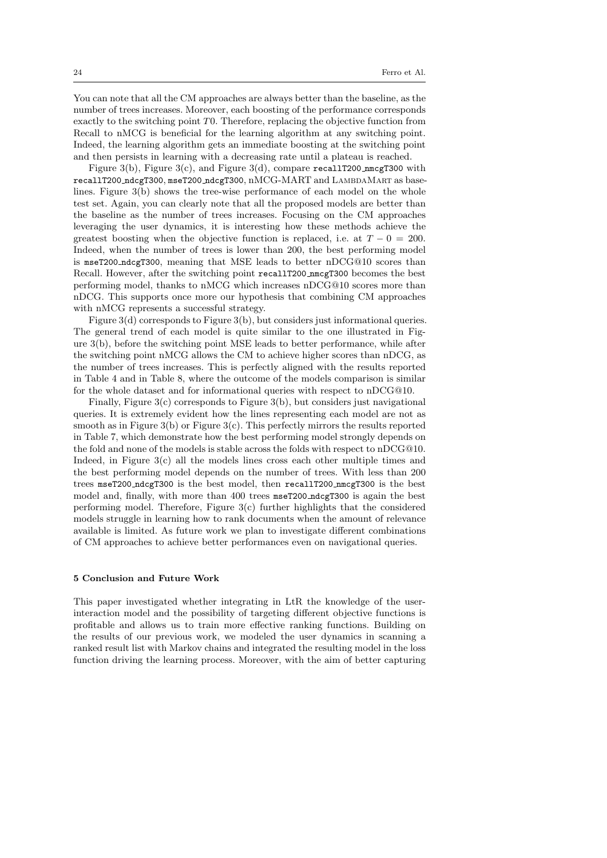You can note that all the CM approaches are always better than the baseline, as the number of trees increases. Moreover, each boosting of the performance corresponds exactly to the switching point T0. Therefore, replacing the objective function from Recall to nMCG is beneficial for the learning algorithm at any switching point. Indeed, the learning algorithm gets an immediate boosting at the switching point and then persists in learning with a decreasing rate until a plateau is reached.

Figure 3(b), Figure 3(c), and Figure 3(d), compare recallT200  $\text{nmc}$ gT300 with recallT200 ndcgT300, mseT200 ndcgT300, nMCG-MART and LAMBDAMART as baselines. Figure 3(b) shows the tree-wise performance of each model on the whole test set. Again, you can clearly note that all the proposed models are better than the baseline as the number of trees increases. Focusing on the CM approaches leveraging the user dynamics, it is interesting how these methods achieve the greatest boosting when the objective function is replaced, i.e. at  $T - 0 = 200$ . Indeed, when the number of trees is lower than 200, the best performing model is mseT200 ndcgT300, meaning that MSE leads to better nDCG@10 scores than Recall. However, after the switching point recallT200 nmcgT300 becomes the best performing model, thanks to nMCG which increases nDCG@10 scores more than nDCG. This supports once more our hypothesis that combining CM approaches with nMCG represents a successful strategy.

Figure 3(d) corresponds to Figure 3(b), but considers just informational queries. The general trend of each model is quite similar to the one illustrated in Figure 3(b), before the switching point MSE leads to better performance, while after the switching point nMCG allows the CM to achieve higher scores than nDCG, as the number of trees increases. This is perfectly aligned with the results reported in Table 4 and in Table 8, where the outcome of the models comparison is similar for the whole dataset and for informational queries with respect to nDCG@10.

Finally, Figure 3(c) corresponds to Figure 3(b), but considers just navigational queries. It is extremely evident how the lines representing each model are not as smooth as in Figure 3(b) or Figure 3(c). This perfectly mirrors the results reported in Table 7, which demonstrate how the best performing model strongly depends on the fold and none of the models is stable across the folds with respect to nDCG@10. Indeed, in Figure 3(c) all the models lines cross each other multiple times and the best performing model depends on the number of trees. With less than 200 trees mseT200 ndcgT300 is the best model, then recallT200 nmcgT300 is the best model and, finally, with more than 400 trees mseT200 ndcgT300 is again the best performing model. Therefore, Figure 3(c) further highlights that the considered models struggle in learning how to rank documents when the amount of relevance available is limited. As future work we plan to investigate different combinations of CM approaches to achieve better performances even on navigational queries.

# 5 Conclusion and Future Work

This paper investigated whether integrating in LtR the knowledge of the userinteraction model and the possibility of targeting different objective functions is profitable and allows us to train more effective ranking functions. Building on the results of our previous work, we modeled the user dynamics in scanning a ranked result list with Markov chains and integrated the resulting model in the loss function driving the learning process. Moreover, with the aim of better capturing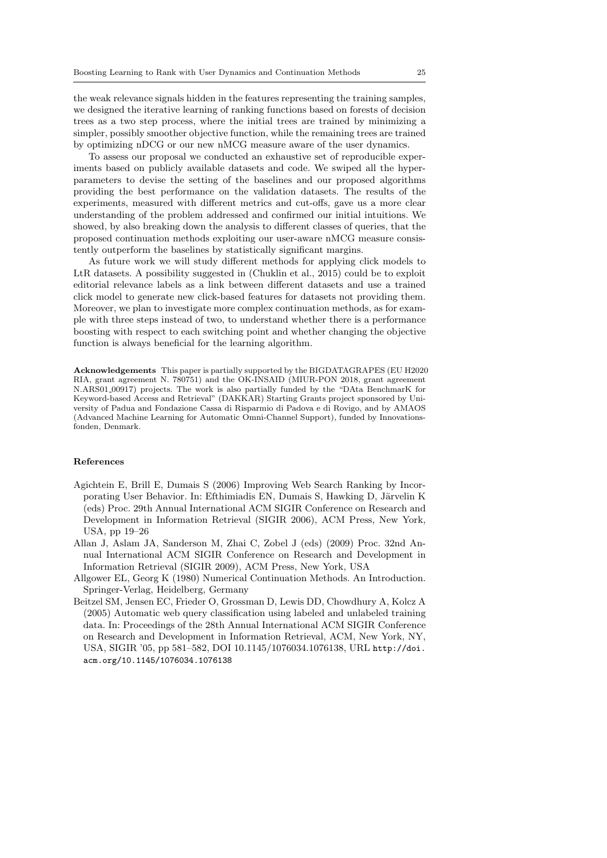the weak relevance signals hidden in the features representing the training samples, we designed the iterative learning of ranking functions based on forests of decision trees as a two step process, where the initial trees are trained by minimizing a simpler, possibly smoother objective function, while the remaining trees are trained by optimizing nDCG or our new nMCG measure aware of the user dynamics.

To assess our proposal we conducted an exhaustive set of reproducible experiments based on publicly available datasets and code. We swiped all the hyperparameters to devise the setting of the baselines and our proposed algorithms providing the best performance on the validation datasets. The results of the experiments, measured with different metrics and cut-offs, gave us a more clear understanding of the problem addressed and confirmed our initial intuitions. We showed, by also breaking down the analysis to different classes of queries, that the proposed continuation methods exploiting our user-aware nMCG measure consistently outperform the baselines by statistically significant margins.

As future work we will study different methods for applying click models to LtR datasets. A possibility suggested in (Chuklin et al., 2015) could be to exploit editorial relevance labels as a link between different datasets and use a trained click model to generate new click-based features for datasets not providing them. Moreover, we plan to investigate more complex continuation methods, as for example with three steps instead of two, to understand whether there is a performance boosting with respect to each switching point and whether changing the objective function is always beneficial for the learning algorithm.

Acknowledgements This paper is partially supported by the BIGDATAGRAPES (EU H2020 RIA, grant agreement N. 780751) and the OK-INSAID (MIUR-PON 2018, grant agreement N.ARS01 00917) projects. The work is also partially funded by the "DAta BenchmarK for Keyword-based Access and Retrieval" (DAKKAR) Starting Grants project sponsored by University of Padua and Fondazione Cassa di Risparmio di Padova e di Rovigo, and by AMAOS (Advanced Machine Learning for Automatic Omni-Channel Support), funded by Innovationsfonden, Denmark.

#### References

- Agichtein E, Brill E, Dumais S (2006) Improving Web Search Ranking by Incorporating User Behavior. In: Efthimiadis EN, Dumais S, Hawking D, Järvelin K (eds) Proc. 29th Annual International ACM SIGIR Conference on Research and Development in Information Retrieval (SIGIR 2006), ACM Press, New York, USA, pp 19–26
- Allan J, Aslam JA, Sanderson M, Zhai C, Zobel J (eds) (2009) Proc. 32nd Annual International ACM SIGIR Conference on Research and Development in Information Retrieval (SIGIR 2009), ACM Press, New York, USA
- Allgower EL, Georg K (1980) Numerical Continuation Methods. An Introduction. Springer-Verlag, Heidelberg, Germany
- Beitzel SM, Jensen EC, Frieder O, Grossman D, Lewis DD, Chowdhury A, Kolcz A (2005) Automatic web query classification using labeled and unlabeled training data. In: Proceedings of the 28th Annual International ACM SIGIR Conference on Research and Development in Information Retrieval, ACM, New York, NY, USA, SIGIR '05, pp 581–582, DOI 10.1145/1076034.1076138, URL http://doi. acm.org/10.1145/1076034.1076138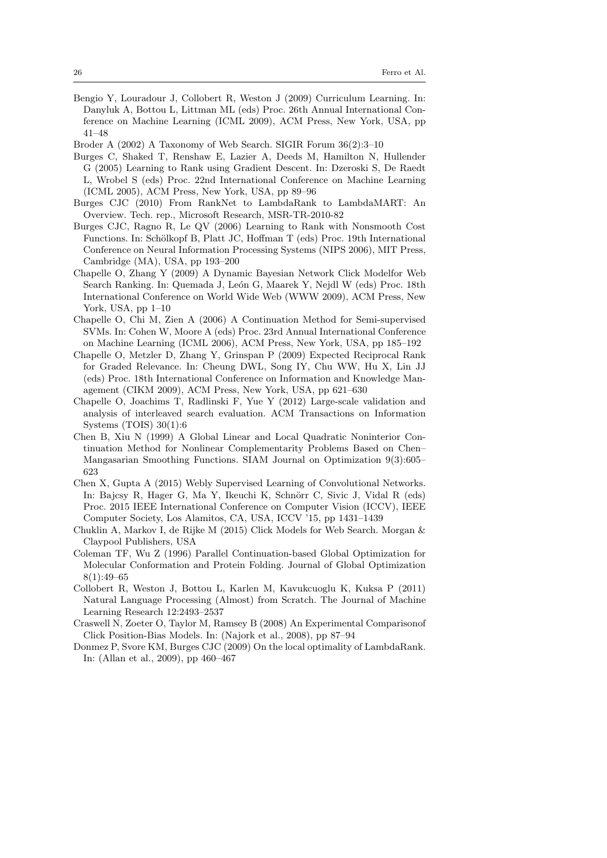- Bengio Y, Louradour J, Collobert R, Weston J (2009) Curriculum Learning. In: Danyluk A, Bottou L, Littman ML (eds) Proc. 26th Annual International Conference on Machine Learning (ICML 2009), ACM Press, New York, USA, pp 41–48
- Broder A (2002) A Taxonomy of Web Search. SIGIR Forum 36(2):3–10
- Burges C, Shaked T, Renshaw E, Lazier A, Deeds M, Hamilton N, Hullender G (2005) Learning to Rank using Gradient Descent. In: Dzeroski S, De Raedt L, Wrobel S (eds) Proc. 22nd International Conference on Machine Learning (ICML 2005), ACM Press, New York, USA, pp 89–96
- Burges CJC (2010) From RankNet to LambdaRank to LambdaMART: An Overview. Tech. rep., Microsoft Research, MSR-TR-2010-82
- Burges CJC, Ragno R, Le QV (2006) Learning to Rank with Nonsmooth Cost Functions. In: Schölkopf B, Platt JC, Hoffman T (eds) Proc. 19th International Conference on Neural Information Processing Systems (NIPS 2006), MIT Press, Cambridge (MA), USA, pp 193–200
- Chapelle O, Zhang Y (2009) A Dynamic Bayesian Network Click Modelfor Web Search Ranking. In: Quemada J, León G, Maarek Y, Nejdl W (eds) Proc. 18th International Conference on World Wide Web (WWW 2009), ACM Press, New York, USA, pp 1–10
- Chapelle O, Chi M, Zien A (2006) A Continuation Method for Semi-supervised SVMs. In: Cohen W, Moore A (eds) Proc. 23rd Annual International Conference on Machine Learning (ICML 2006), ACM Press, New York, USA, pp 185–192
- Chapelle O, Metzler D, Zhang Y, Grinspan P (2009) Expected Reciprocal Rank for Graded Relevance. In: Cheung DWL, Song IY, Chu WW, Hu X, Lin JJ (eds) Proc. 18th International Conference on Information and Knowledge Management (CIKM 2009), ACM Press, New York, USA, pp 621–630
- Chapelle O, Joachims T, Radlinski F, Yue Y (2012) Large-scale validation and analysis of interleaved search evaluation. ACM Transactions on Information Systems (TOIS) 30(1):6
- Chen B, Xiu N (1999) A Global Linear and Local Quadratic Noninterior Continuation Method for Nonlinear Complementarity Problems Based on Chen– Mangasarian Smoothing Functions. SIAM Journal on Optimization 9(3):605– 623
- Chen X, Gupta A (2015) Webly Supervised Learning of Convolutional Networks. In: Bajcsy R, Hager G, Ma Y, Ikeuchi K, Schnörr C, Sivic J, Vidal R (eds) Proc. 2015 IEEE International Conference on Computer Vision (ICCV), IEEE Computer Society, Los Alamitos, CA, USA, ICCV '15, pp 1431–1439
- Chuklin A, Markov I, de Rijke M (2015) Click Models for Web Search. Morgan & Claypool Publishers, USA
- Coleman TF, Wu Z (1996) Parallel Continuation-based Global Optimization for Molecular Conformation and Protein Folding. Journal of Global Optimization 8(1):49–65
- Collobert R, Weston J, Bottou L, Karlen M, Kavukcuoglu K, Kuksa P (2011) Natural Language Processing (Almost) from Scratch. The Journal of Machine Learning Research 12:2493–2537
- Craswell N, Zoeter O, Taylor M, Ramsey B (2008) An Experimental Comparisonof Click Position-Bias Models. In: (Najork et al., 2008), pp 87–94
- Donmez P, Svore KM, Burges CJC (2009) On the local optimality of LambdaRank. In: (Allan et al., 2009), pp 460–467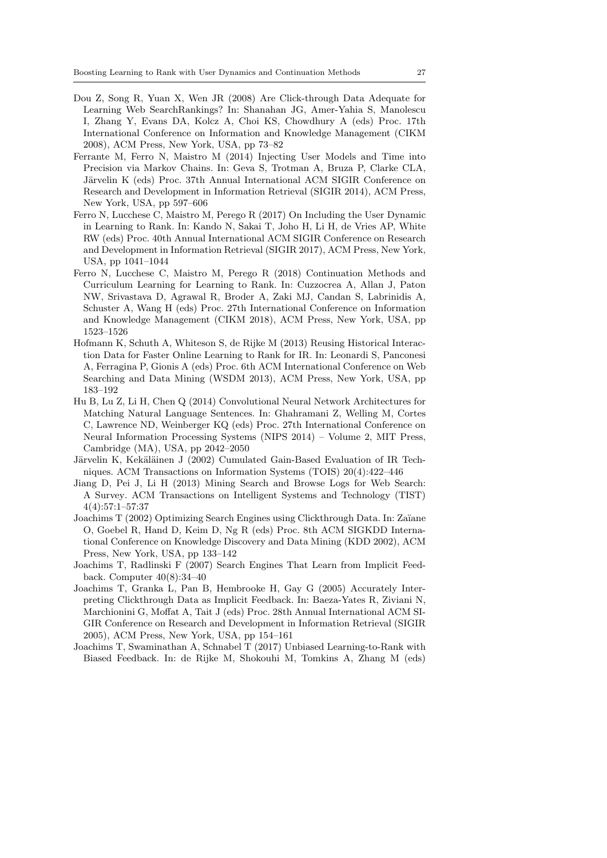- Dou Z, Song R, Yuan X, Wen JR (2008) Are Click-through Data Adequate for Learning Web SearchRankings? In: Shanahan JG, Amer-Yahia S, Manolescu I, Zhang Y, Evans DA, Kolcz A, Choi KS, Chowdhury A (eds) Proc. 17th International Conference on Information and Knowledge Management (CIKM 2008), ACM Press, New York, USA, pp 73–82
- Ferrante M, Ferro N, Maistro M (2014) Injecting User Models and Time into Precision via Markov Chains. In: Geva S, Trotman A, Bruza P, Clarke CLA, Järvelin K (eds) Proc. 37th Annual International ACM SIGIR Conference on Research and Development in Information Retrieval (SIGIR 2014), ACM Press, New York, USA, pp 597–606
- Ferro N, Lucchese C, Maistro M, Perego R (2017) On Including the User Dynamic in Learning to Rank. In: Kando N, Sakai T, Joho H, Li H, de Vries AP, White RW (eds) Proc. 40th Annual International ACM SIGIR Conference on Research and Development in Information Retrieval (SIGIR 2017), ACM Press, New York, USA, pp 1041–1044
- Ferro N, Lucchese C, Maistro M, Perego R (2018) Continuation Methods and Curriculum Learning for Learning to Rank. In: Cuzzocrea A, Allan J, Paton NW, Srivastava D, Agrawal R, Broder A, Zaki MJ, Candan S, Labrinidis A, Schuster A, Wang H (eds) Proc. 27th International Conference on Information and Knowledge Management (CIKM 2018), ACM Press, New York, USA, pp 1523–1526
- Hofmann K, Schuth A, Whiteson S, de Rijke M (2013) Reusing Historical Interaction Data for Faster Online Learning to Rank for IR. In: Leonardi S, Panconesi A, Ferragina P, Gionis A (eds) Proc. 6th ACM International Conference on Web Searching and Data Mining (WSDM 2013), ACM Press, New York, USA, pp 183–192
- Hu B, Lu Z, Li H, Chen Q (2014) Convolutional Neural Network Architectures for Matching Natural Language Sentences. In: Ghahramani Z, Welling M, Cortes C, Lawrence ND, Weinberger KQ (eds) Proc. 27th International Conference on Neural Information Processing Systems (NIPS 2014) – Volume 2, MIT Press, Cambridge (MA), USA, pp 2042–2050
- Järvelin K, Kekäläinen J (2002) Cumulated Gain-Based Evaluation of IR Techniques. ACM Transactions on Information Systems (TOIS) 20(4):422–446
- Jiang D, Pei J, Li H (2013) Mining Search and Browse Logs for Web Search: A Survey. ACM Transactions on Intelligent Systems and Technology (TIST) 4(4):57:1–57:37
- Joachims T (2002) Optimizing Search Engines using Clickthrough Data. In: Zaïane O, Goebel R, Hand D, Keim D, Ng R (eds) Proc. 8th ACM SIGKDD International Conference on Knowledge Discovery and Data Mining (KDD 2002), ACM Press, New York, USA, pp 133–142
- Joachims T, Radlinski F (2007) Search Engines That Learn from Implicit Feedback. Computer 40(8):34–40
- Joachims T, Granka L, Pan B, Hembrooke H, Gay G (2005) Accurately Interpreting Clickthrough Data as Implicit Feedback. In: Baeza-Yates R, Ziviani N, Marchionini G, Moffat A, Tait J (eds) Proc. 28th Annual International ACM SI-GIR Conference on Research and Development in Information Retrieval (SIGIR 2005), ACM Press, New York, USA, pp 154–161
- Joachims T, Swaminathan A, Schnabel T (2017) Unbiased Learning-to-Rank with Biased Feedback. In: de Rijke M, Shokouhi M, Tomkins A, Zhang M (eds)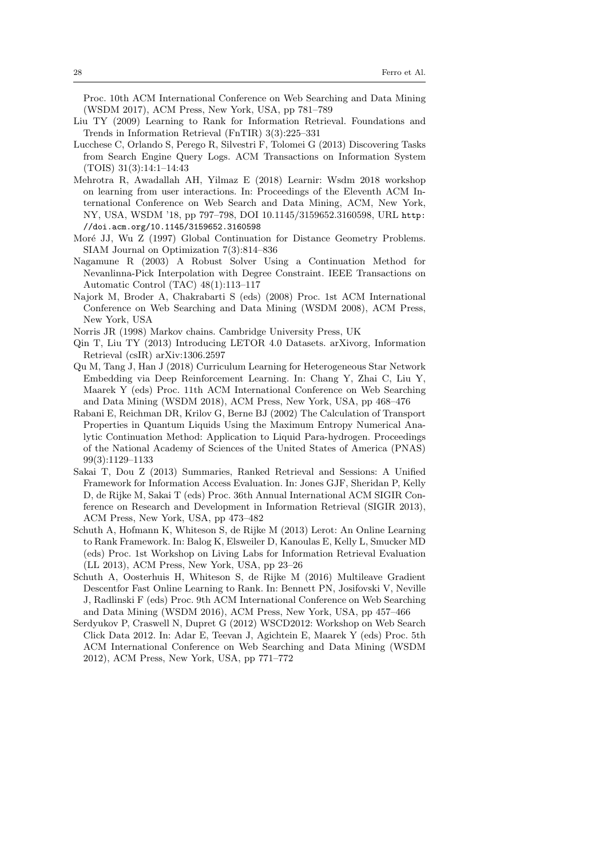Proc. 10th ACM International Conference on Web Searching and Data Mining (WSDM 2017), ACM Press, New York, USA, pp 781–789

- Liu TY (2009) Learning to Rank for Information Retrieval. Foundations and Trends in Information Retrieval (FnTIR) 3(3):225–331
- Lucchese C, Orlando S, Perego R, Silvestri F, Tolomei G (2013) Discovering Tasks from Search Engine Query Logs. ACM Transactions on Information System (TOIS) 31(3):14:1–14:43
- Mehrotra R, Awadallah AH, Yilmaz E (2018) Learnir: Wsdm 2018 workshop on learning from user interactions. In: Proceedings of the Eleventh ACM International Conference on Web Search and Data Mining, ACM, New York, NY, USA, WSDM '18, pp 797–798, DOI 10.1145/3159652.3160598, URL http: //doi.acm.org/10.1145/3159652.3160598
- Moré JJ, Wu Z (1997) Global Continuation for Distance Geometry Problems. SIAM Journal on Optimization 7(3):814–836
- Nagamune R (2003) A Robust Solver Using a Continuation Method for Nevanlinna-Pick Interpolation with Degree Constraint. IEEE Transactions on Automatic Control (TAC) 48(1):113–117
- Najork M, Broder A, Chakrabarti S (eds) (2008) Proc. 1st ACM International Conference on Web Searching and Data Mining (WSDM 2008), ACM Press, New York, USA
- Norris JR (1998) Markov chains. Cambridge University Press, UK
- Qin T, Liu TY (2013) Introducing LETOR 4.0 Datasets. arXivorg, Information Retrieval (csIR) arXiv:1306.2597
- Qu M, Tang J, Han J (2018) Curriculum Learning for Heterogeneous Star Network Embedding via Deep Reinforcement Learning. In: Chang Y, Zhai C, Liu Y, Maarek Y (eds) Proc. 11th ACM International Conference on Web Searching and Data Mining (WSDM 2018), ACM Press, New York, USA, pp 468–476
- Rabani E, Reichman DR, Krilov G, Berne BJ (2002) The Calculation of Transport Properties in Quantum Liquids Using the Maximum Entropy Numerical Analytic Continuation Method: Application to Liquid Para-hydrogen. Proceedings of the National Academy of Sciences of the United States of America (PNAS) 99(3):1129–1133
- Sakai T, Dou Z (2013) Summaries, Ranked Retrieval and Sessions: A Unified Framework for Information Access Evaluation. In: Jones GJF, Sheridan P, Kelly D, de Rijke M, Sakai T (eds) Proc. 36th Annual International ACM SIGIR Conference on Research and Development in Information Retrieval (SIGIR 2013), ACM Press, New York, USA, pp 473–482
- Schuth A, Hofmann K, Whiteson S, de Rijke M (2013) Lerot: An Online Learning to Rank Framework. In: Balog K, Elsweiler D, Kanoulas E, Kelly L, Smucker MD (eds) Proc. 1st Workshop on Living Labs for Information Retrieval Evaluation (LL 2013), ACM Press, New York, USA, pp 23–26
- Schuth A, Oosterhuis H, Whiteson S, de Rijke M (2016) Multileave Gradient Descentfor Fast Online Learning to Rank. In: Bennett PN, Josifovski V, Neville J, Radlinski F (eds) Proc. 9th ACM International Conference on Web Searching and Data Mining (WSDM 2016), ACM Press, New York, USA, pp 457–466
- Serdyukov P, Craswell N, Dupret G (2012) WSCD2012: Workshop on Web Search Click Data 2012. In: Adar E, Teevan J, Agichtein E, Maarek Y (eds) Proc. 5th ACM International Conference on Web Searching and Data Mining (WSDM 2012), ACM Press, New York, USA, pp 771–772